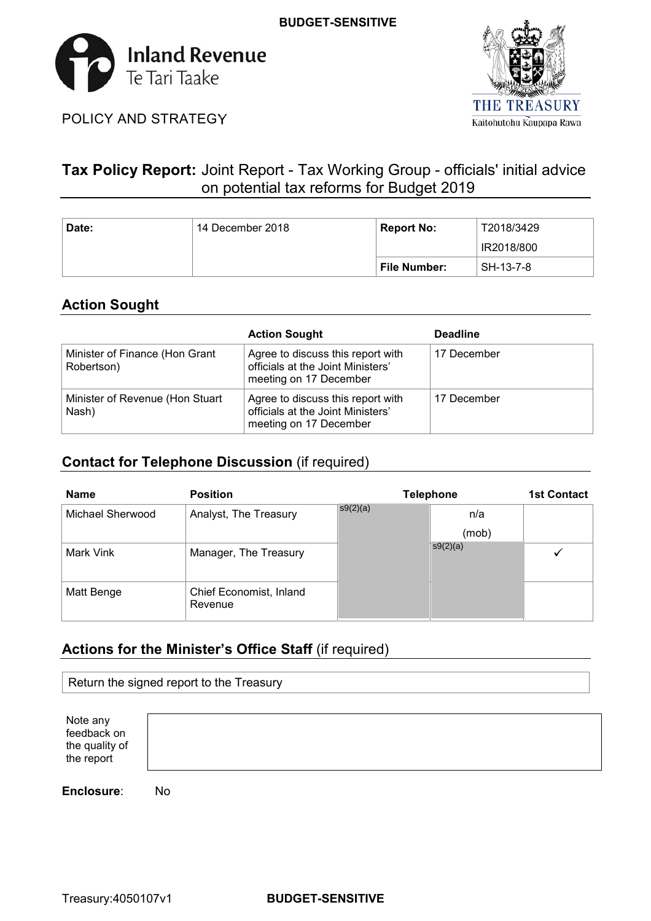



POLICY AND STRATEGY

# **Tax Policy Report:** Joint Report - Tax Working Group - officials' initial advice on potential tax reforms for Budget 2019

| Date: | 14 December 2018 | <b>Report No:</b> | T2018/3429 |
|-------|------------------|-------------------|------------|
|       |                  |                   | IR2018/800 |
|       |                  | File Number:      | SH-13-7-8  |

# **Action Sought**

|                                              | <b>Action Sought</b>                                                                             | <b>Deadline</b> |
|----------------------------------------------|--------------------------------------------------------------------------------------------------|-----------------|
| Minister of Finance (Hon Grant<br>Robertson) | Agree to discuss this report with<br>officials at the Joint Ministers'<br>meeting on 17 December | 17 December     |
| Minister of Revenue (Hon Stuart<br>Nash)     | Agree to discuss this report with<br>officials at the Joint Ministers'<br>meeting on 17 December | 17 December     |

# **Contact for Telephone Discussion** (if required)

| <b>Name</b>      | <b>Position</b>                    |          | <b>Telephone</b> | <b>1st Contact</b> |
|------------------|------------------------------------|----------|------------------|--------------------|
| Michael Sherwood | Analyst, The Treasury              | s9(2)(a) | n/a              |                    |
|                  |                                    |          | (mob)            |                    |
| Mark Vink        | Manager, The Treasury              |          | s9(2)(a)         |                    |
|                  |                                    |          |                  |                    |
| Matt Benge       | Chief Economist, Inland<br>Revenue |          |                  |                    |

# **Actions for the Minister's Office Staff** (if required)

| Return the signed report to the Treasury                |    |  |  |  |  |
|---------------------------------------------------------|----|--|--|--|--|
| Note any<br>feedback on<br>the quality of<br>the report |    |  |  |  |  |
| Enclosure:                                              | No |  |  |  |  |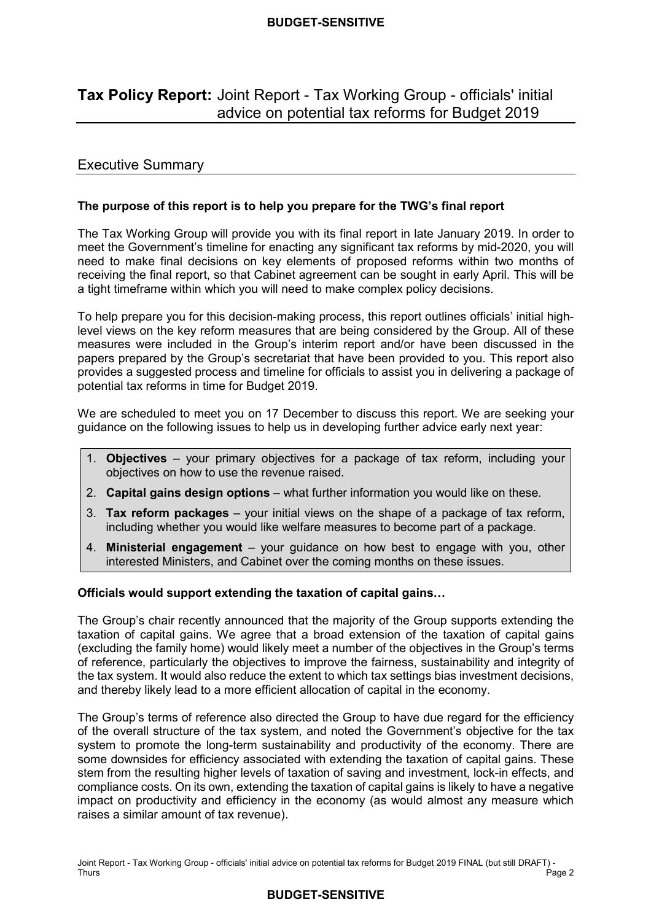# **Tax Policy Report:** Joint Report - Tax Working Group - officials' initial advice on potential tax reforms for Budget 2019

# Executive Summary

# **The purpose of this report is to help you prepare for the TWG's final report**

 The Tax Working Group will provide you with its final report in late January 2019. In order to meet the Government's timeline for enacting any significant tax reforms by mid-2020, you will need to make final decisions on key elements of proposed reforms within two months of receiving the final report, so that Cabinet agreement can be sought in early April. This will be a tight timeframe within which you will need to make complex policy decisions.

 To help prepare you for this decision-making process, this report outlines officials' initial high- level views on the key reform measures that are being considered by the Group. All of these measures were included in the Group's interim report and/or have been discussed in the papers prepared by the Group's secretariat that have been provided to you. This report also provides a suggested process and timeline for officials to assist you in delivering a package of potential tax reforms in time for Budget 2019.

 We are scheduled to meet you on 17 December to discuss this report. We are seeking your guidance on the following issues to help us in developing further advice early next year:

- 1. **Objectives**  your primary objectives for a package of tax reform, including your objectives on how to use the revenue raised.
- 2. **Capital gains design options** what further information you would like on these.
- 3. **Tax reform packages** your initial views on the shape of a package of tax reform, including whether you would like welfare measures to become part of a package.
- 4. **Ministerial engagement** your guidance on how best to engage with you, other interested Ministers, and Cabinet over the coming months on these issues.

# **Officials would support extending the taxation of capital gains…**

 The Group's chair recently announced that the majority of the Group supports extending the taxation of capital gains. We agree that a broad extension of the taxation of capital gains (excluding the family home) would likely meet a number of the objectives in the Group's terms of reference, particularly the objectives to improve the fairness, sustainability and integrity of the tax system. It would also reduce the extent to which tax settings bias investment decisions, and thereby likely lead to a more efficient allocation of capital in the economy.

 The Group's terms of reference also directed the Group to have due regard for the efficiency of the overall structure of the tax system, and noted the Government's objective for the tax system to promote the long-term sustainability and productivity of the economy. There are some downsides for efficiency associated with extending the taxation of capital gains. These stem from the resulting higher levels of taxation of saving and investment, lock-in effects, and compliance costs. On its own, extending the taxation of capital gains is likely to have a negative impact on productivity and efficiency in the economy (as would almost any measure which raises a similar amount of tax revenue).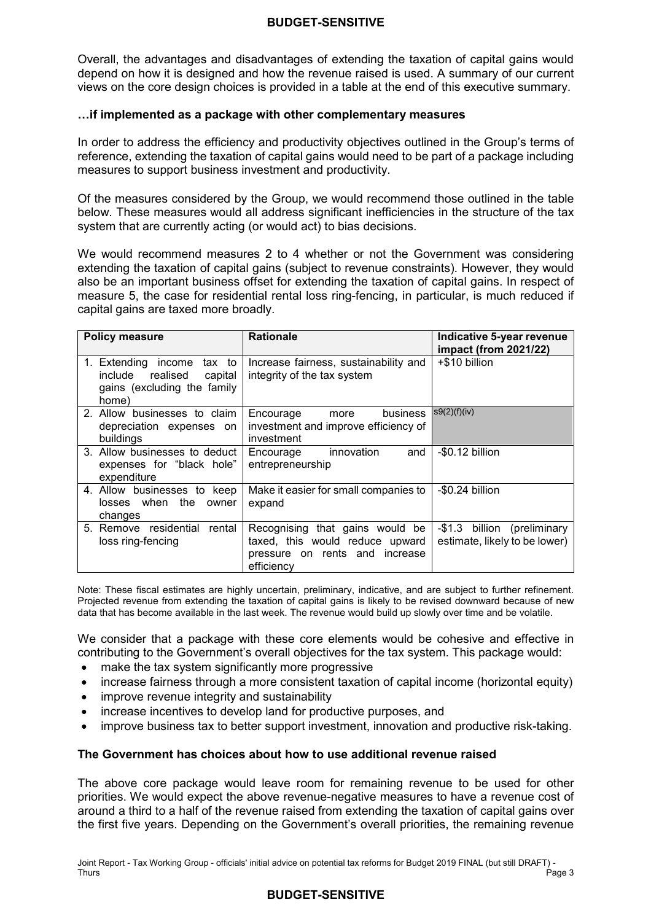Overall, the advantages and disadvantages of extending the taxation of capital gains would depend on how it is designed and how the revenue raised is used. A summary of our current views on the core design choices is provided in a table at the end of this executive summary.

#### **…if implemented as a package with other complementary measures**

 In order to address the efficiency and productivity objectives outlined in the Group's terms of reference, extending the taxation of capital gains would need to be part of a package including measures to support business investment and productivity.

 Of the measures considered by the Group, we would recommend those outlined in the table below. These measures would all address significant inefficiencies in the structure of the tax system that are currently acting (or would act) to bias decisions.

 We would recommend measures 2 to 4 whether or not the Government was considering extending the taxation of capital gains (subject to revenue constraints). However, they would also be an important business offset for extending the taxation of capital gains. In respect of measure 5, the case for residential rental loss ring-fencing, in particular, is much reduced if capital gains are taxed more broadly.

| <b>Policy measure</b>                                                                                | <b>Rationale</b>                                                                                                   | Indicative 5-year revenue<br>impact (from 2021/22)                |
|------------------------------------------------------------------------------------------------------|--------------------------------------------------------------------------------------------------------------------|-------------------------------------------------------------------|
| 1. Extending income<br>tax to<br>include realised<br>capital<br>gains (excluding the family<br>home) | Increase fairness, sustainability and<br>integrity of the tax system                                               | +\$10 billion                                                     |
| 2. Allow businesses to claim<br>depreciation expenses on<br>buildings                                | business<br>Encourage<br>more<br>investment and improve efficiency of<br>investment                                | s9(2)(f)(iv)                                                      |
| 3. Allow businesses to deduct<br>expenses for "black hole"<br>expenditure                            | innovation<br>and<br>Encourage<br>entrepreneurship                                                                 | -\$0.12 billion                                                   |
| 4. Allow businesses to keep<br>losses when the<br>owner<br>changes                                   | Make it easier for small companies to<br>expand                                                                    | -\$0.24 billion                                                   |
| 5. Remove residential<br>rental<br>loss ring-fencing                                                 | Recognising that gains would be<br>taxed, this would reduce upward<br>pressure on rents and increase<br>efficiencv | $-\$1.3$<br>billion (preliminary<br>estimate, likely to be lower) |

 Note: These fiscal estimates are highly uncertain, preliminary, indicative, and are subject to further refinement. Projected revenue from extending the taxation of capital gains is likely to be revised downward because of new data that has become available in the last week. The revenue would build up slowly over time and be volatile.

 We consider that a package with these core elements would be cohesive and effective in contributing to the Government's overall objectives for the tax system. This package would:

- make the tax system significantly more progressive
- increase fairness through a more consistent taxation of capital income (horizontal equity)
- improve revenue integrity and sustainability
- increase incentives to develop land for productive purposes, and
- improve business tax to better support investment, innovation and productive risk-taking.

#### **The Government has choices about how to use additional revenue raised**

 The above core package would leave room for remaining revenue to be used for other priorities. We would expect the above revenue-negative measures to have a revenue cost of around a third to a half of the revenue raised from extending the taxation of capital gains over the first five years. Depending on the Government's overall priorities, the remaining revenue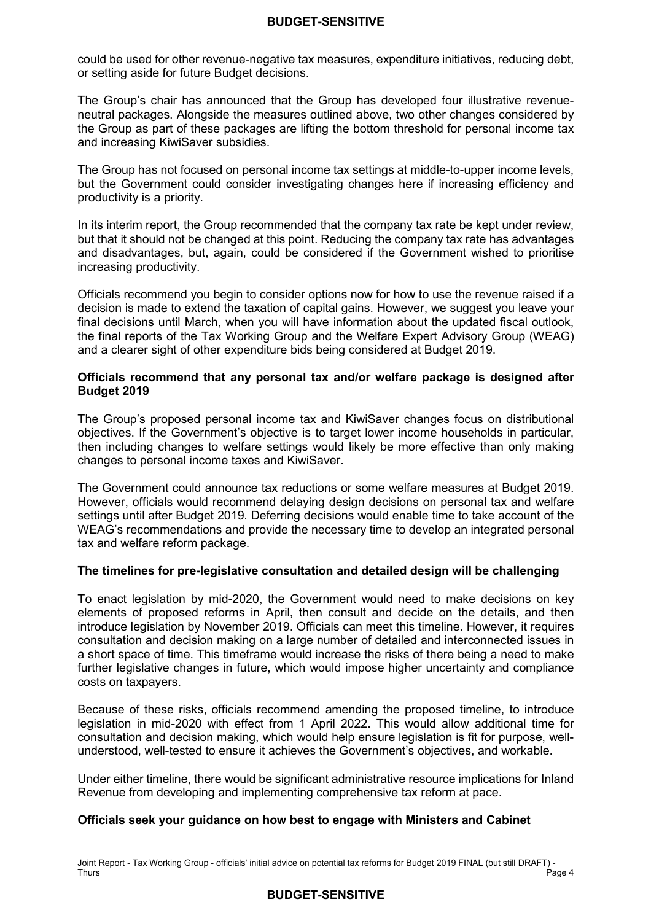could be used for other revenue-negative tax measures, expenditure initiatives, reducing debt, or setting aside for future Budget decisions.

 The Group's chair has announced that the Group has developed four illustrative revenue- neutral packages. Alongside the measures outlined above, two other changes considered by the Group as part of these packages are lifting the bottom threshold for personal income tax and increasing KiwiSaver subsidies.

 The Group has not focused on personal income tax settings at middle-to-upper income levels, but the Government could consider investigating changes here if increasing efficiency and productivity is a priority.

 In its interim report, the Group recommended that the company tax rate be kept under review, but that it should not be changed at this point. Reducing the company tax rate has advantages and disadvantages, but, again, could be considered if the Government wished to prioritise increasing productivity.

 Officials recommend you begin to consider options now for how to use the revenue raised if a decision is made to extend the taxation of capital gains. However, we suggest you leave your final decisions until March, when you will have information about the updated fiscal outlook, the final reports of the Tax Working Group and the Welfare Expert Advisory Group (WEAG) and a clearer sight of other expenditure bids being considered at Budget 2019.

#### **Officials recommend that any personal tax and/or welfare package is designed after Budget 2019**

 The Group's proposed personal income tax and KiwiSaver changes focus on distributional objectives. If the Government's objective is to target lower income households in particular, then including changes to welfare settings would likely be more effective than only making changes to personal income taxes and KiwiSaver.

 The Government could announce tax reductions or some welfare measures at Budget 2019. However, officials would recommend delaying design decisions on personal tax and welfare settings until after Budget 2019. Deferring decisions would enable time to take account of the WEAG's recommendations and provide the necessary time to develop an integrated personal tax and welfare reform package.

# **The timelines for pre-legislative consultation and detailed design will be challenging**

 To enact legislation by mid-2020, the Government would need to make decisions on key elements of proposed reforms in April, then consult and decide on the details, and then introduce legislation by November 2019. Officials can meet this timeline. However, it requires consultation and decision making on a large number of detailed and interconnected issues in a short space of time. This timeframe would increase the risks of there being a need to make further legislative changes in future, which would impose higher uncertainty and compliance costs on taxpayers.

 Because of these risks, officials recommend amending the proposed timeline, to introduce legislation in mid-2020 with effect from 1 April 2022. This would allow additional time for consultation and decision making, which would help ensure legislation is fit for purpose, well-understood, well-tested to ensure it achieves the Government's objectives, and workable.

 Under either timeline, there would be significant administrative resource implications for Inland Revenue from developing and implementing comprehensive tax reform at pace.

# **Officials seek your guidance on how best to engage with Ministers and Cabinet**

 Joint Report - Tax Working Group - officials' initial advice on potential tax reforms for Budget 2019 FINAL (but still DRAFT) - Thurs Thurs Page 4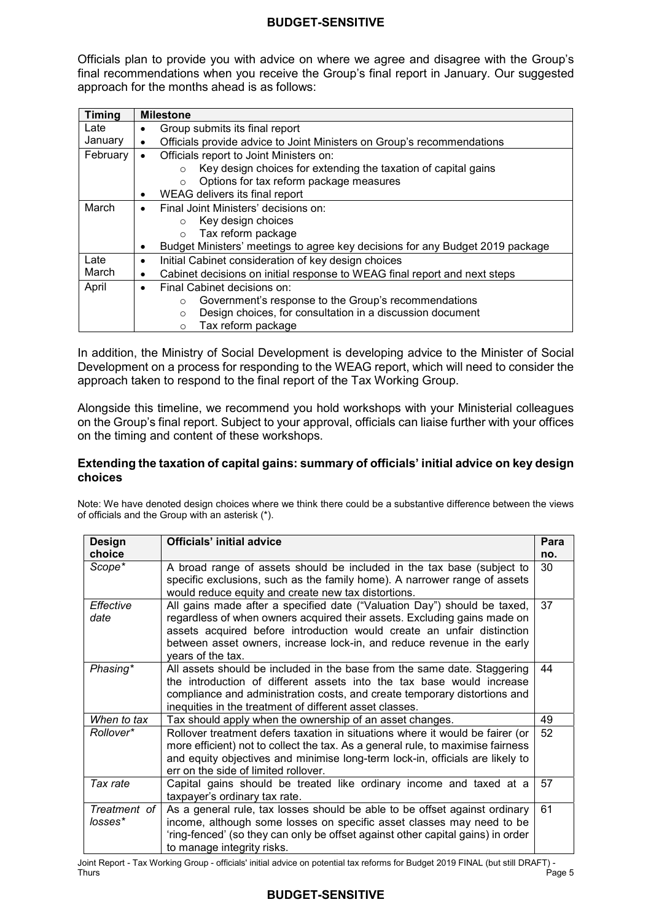Officials plan to provide you with advice on where we agree and disagree with the Group's final recommendations when you receive the Group's final report in January. Our suggested approach for the months ahead is as follows:

| <b>Timing</b> | <b>Milestone</b>                                                                       |  |  |  |  |
|---------------|----------------------------------------------------------------------------------------|--|--|--|--|
| Late          | Group submits its final report                                                         |  |  |  |  |
| January       | Officials provide advice to Joint Ministers on Group's recommendations                 |  |  |  |  |
| February      | Officials report to Joint Ministers on:<br>$\bullet$                                   |  |  |  |  |
|               | Key design choices for extending the taxation of capital gains<br>$\Omega$             |  |  |  |  |
|               | Options for tax reform package measures<br>$\circ$                                     |  |  |  |  |
|               | WEAG delivers its final report<br>٠                                                    |  |  |  |  |
| March         | Final Joint Ministers' decisions on:<br>$\bullet$                                      |  |  |  |  |
|               | Key design choices<br>$\circ$                                                          |  |  |  |  |
|               | Tax reform package<br>$\circ$                                                          |  |  |  |  |
|               | Budget Ministers' meetings to agree key decisions for any Budget 2019 package<br>٠     |  |  |  |  |
| Late          | Initial Cabinet consideration of key design choices<br>٠                               |  |  |  |  |
| March         | Cabinet decisions on initial response to WEAG final report and next steps<br>$\bullet$ |  |  |  |  |
| April         | Final Cabinet decisions on:<br>$\bullet$                                               |  |  |  |  |
|               | Government's response to the Group's recommendations<br>$\circ$                        |  |  |  |  |
|               | Design choices, for consultation in a discussion document<br>$\circ$                   |  |  |  |  |
|               | Tax reform package<br>$\circ$                                                          |  |  |  |  |

 In addition, the Ministry of Social Development is developing advice to the Minister of Social Development on a process for responding to the WEAG report, which will need to consider the approach taken to respond to the final report of the Tax Working Group.

 Alongside this timeline, we recommend you hold workshops with your Ministerial colleagues on the Group's final report. Subject to your approval, officials can liaise further with your offices on the timing and content of these workshops.

#### **Extending the taxation of capital gains: summary of officials' initial advice on key design choices**

 Note: We have denoted design choices where we think there could be a substantive difference between the views of officials and the Group with an asterisk (\*).

| <b>Design</b><br>choice | <b>Officials' initial advice</b>                                                                                                                                                                                                                                                                                               | Para<br>no. |
|-------------------------|--------------------------------------------------------------------------------------------------------------------------------------------------------------------------------------------------------------------------------------------------------------------------------------------------------------------------------|-------------|
| Scope <sup>*</sup>      | A broad range of assets should be included in the tax base (subject to<br>specific exclusions, such as the family home). A narrower range of assets<br>would reduce equity and create new tax distortions.                                                                                                                     | 30          |
| Effective<br>date       | All gains made after a specified date ("Valuation Day") should be taxed,<br>regardless of when owners acquired their assets. Excluding gains made on<br>assets acquired before introduction would create an unfair distinction<br>between asset owners, increase lock-in, and reduce revenue in the early<br>years of the tax. | 37          |
| Phasing*                | All assets should be included in the base from the same date. Staggering<br>the introduction of different assets into the tax base would increase<br>compliance and administration costs, and create temporary distortions and<br>inequities in the treatment of different asset classes.                                      | 44          |
| When to tax             | Tax should apply when the ownership of an asset changes.                                                                                                                                                                                                                                                                       | 49          |
| Rollover*               | Rollover treatment defers taxation in situations where it would be fairer (or<br>more efficient) not to collect the tax. As a general rule, to maximise fairness<br>and equity objectives and minimise long-term lock-in, officials are likely to<br>err on the side of limited rollover.                                      | 52          |
| Tax rate                | Capital gains should be treated like ordinary income and taxed at a<br>taxpayer's ordinary tax rate.                                                                                                                                                                                                                           | 57          |
| Treatment of<br>losses* | As a general rule, tax losses should be able to be offset against ordinary<br>income, although some losses on specific asset classes may need to be<br>'ring-fenced' (so they can only be offset against other capital gains) in order<br>to manage integrity risks.                                                           | 61          |

 Joint Report - Tax Working Group - officials' initial advice on potential tax reforms for Budget 2019 FINAL (but still DRAFT) - Thurs Thurs Page 5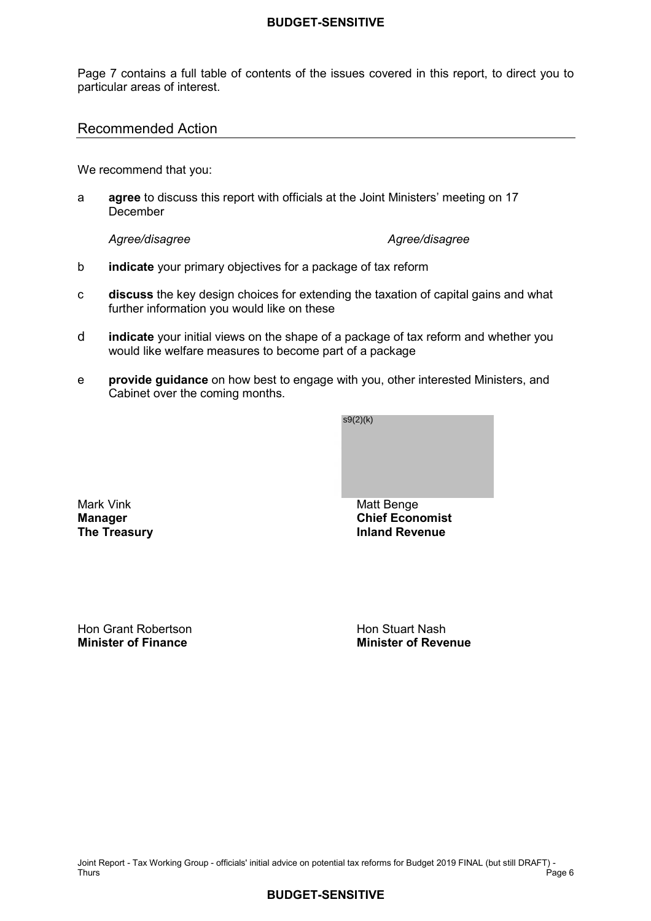Page 7 contains a full table of contents of the issues covered in this report, to direct you to particular areas of interest.

# Recommended Action

We recommend that you:

a **agree** to discuss this report with officials at the Joint Ministers' meeting on 17 December

Agree/disagree

#### Agree/disagree

- b **indicate** your primary objectives for a package of tax reform
- **discuss** the key design choices for extending the taxation of capital gains and what further information you would like on these c
- d **indicate** your initial views on the shape of a package of tax reform and whether you would like welfare measures to become part of a package
- Cabinet over the coming months. e **provide guidance** on how best to engage with you, other interested Ministers, and



**Mark Vink Manager** 

Hon Grant Robertson **Hon Stuart Nash Minister of Finance** 

**Minister of Finance Minister of Revenue**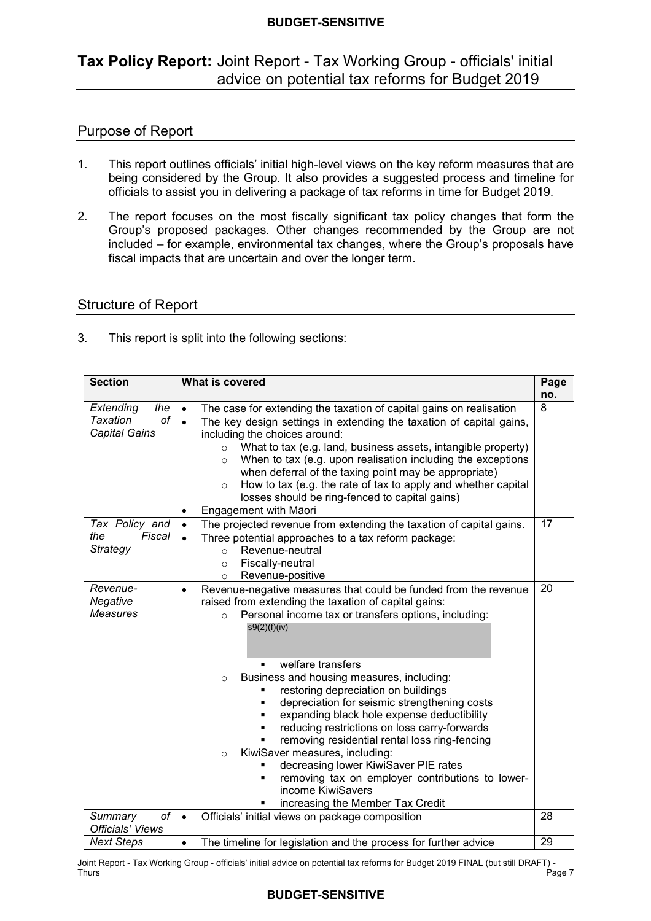# **Tax Policy Report:** Joint Report - Tax Working Group - officials' initial advice on potential tax reforms for Budget 2019

# Purpose of Report

- $\mathbf{1}$  being considered by the Group. It also provides a suggested process and timeline for This report outlines officials' initial high-level views on the key reform measures that are officials to assist you in delivering a package of tax reforms in time for Budget 2019.
- $2.$  Group's proposed packages. Other changes recommended by the Group are not included – for example, environmental tax changes, where the Group's proposals have fiscal impacts that are uncertain and over the longer term. The report focuses on the most fiscally significant tax policy changes that form the

# Structure of Report

 $3<sub>1</sub>$ This report is split into the following sections:

| <b>Section</b>                                             | What is covered                                                                                                                                                                                                                                                                                                                                                                                                                                                                                                                                                                                                                                                                                                                                                        | Page<br>no. |
|------------------------------------------------------------|------------------------------------------------------------------------------------------------------------------------------------------------------------------------------------------------------------------------------------------------------------------------------------------------------------------------------------------------------------------------------------------------------------------------------------------------------------------------------------------------------------------------------------------------------------------------------------------------------------------------------------------------------------------------------------------------------------------------------------------------------------------------|-------------|
| Extending<br>the<br>Taxation<br>οf<br><b>Capital Gains</b> | The case for extending the taxation of capital gains on realisation<br>$\bullet$<br>The key design settings in extending the taxation of capital gains,<br>$\bullet$<br>including the choices around:<br>What to tax (e.g. land, business assets, intangible property)<br>$\circ$<br>When to tax (e.g. upon realisation including the exceptions<br>$\circ$<br>when deferral of the taxing point may be appropriate)<br>How to tax (e.g. the rate of tax to apply and whether capital<br>$\circ$<br>losses should be ring-fenced to capital gains)<br>Engagement with Māori                                                                                                                                                                                            | 8           |
| Tax Policy and<br>the<br>Fiscal<br><b>Strategy</b>         | The projected revenue from extending the taxation of capital gains.<br>$\bullet$<br>Three potential approaches to a tax reform package:<br>$\bullet$<br>Revenue-neutral<br>$\circ$<br>Fiscally-neutral<br>$\circ$<br>Revenue-positive<br>$\circ$                                                                                                                                                                                                                                                                                                                                                                                                                                                                                                                       | 17          |
| Revenue-<br>Negative<br><b>Measures</b>                    | Revenue-negative measures that could be funded from the revenue<br>$\bullet$<br>raised from extending the taxation of capital gains:<br>Personal income tax or transfers options, including:<br>$\circ$<br>s9(2)(f)(iv)<br>welfare transfers<br>Business and housing measures, including:<br>$\circ$<br>restoring depreciation on buildings<br>depreciation for seismic strengthening costs<br>٠<br>expanding black hole expense deductibility<br>٠<br>reducing restrictions on loss carry-forwards<br>×,<br>removing residential rental loss ring-fencing<br>KiwiSaver measures, including:<br>$\circ$<br>decreasing lower KiwiSaver PIE rates<br>٠<br>removing tax on employer contributions to lower-<br>٠<br>income KiwiSavers<br>increasing the Member Tax Credit | 20          |
| of<br>Summary<br><b>Officials' Views</b>                   | Officials' initial views on package composition<br>$\bullet$                                                                                                                                                                                                                                                                                                                                                                                                                                                                                                                                                                                                                                                                                                           | 28          |
| <b>Next Steps</b>                                          | The timeline for legislation and the process for further advice<br>$\bullet$                                                                                                                                                                                                                                                                                                                                                                                                                                                                                                                                                                                                                                                                                           | 29          |

 Joint Report - Tax Working Group - officials' initial advice on potential tax reforms for Budget 2019 FINAL (but still DRAFT) - Thurs Thurs Page 7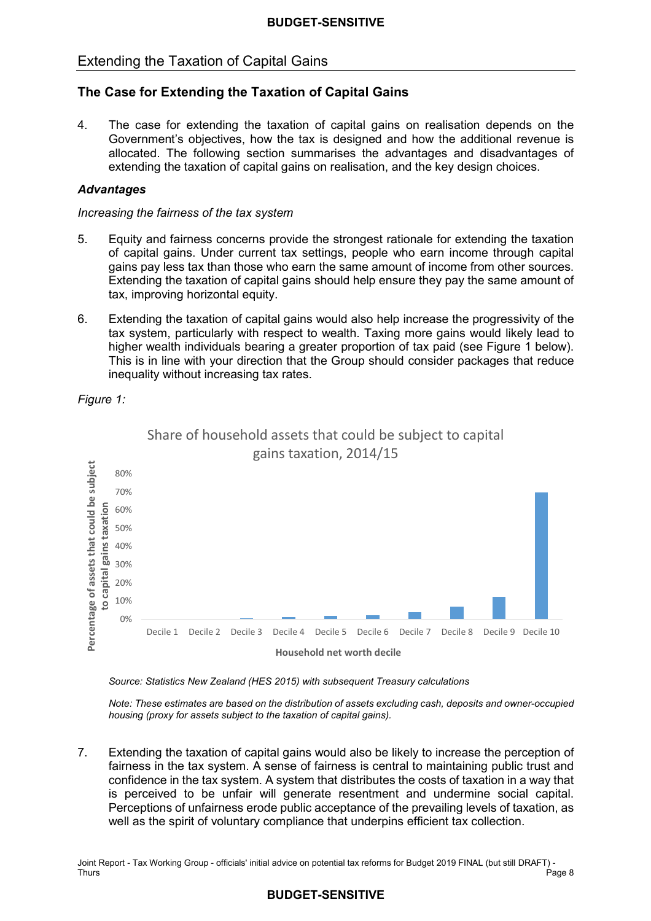# Extending the Taxation of Capital Gains

# **The Case for Extending the Taxation of Capital Gains**

 $\overline{4}$ . Government's objectives, how the tax is designed and how the additional revenue is allocated. The following section summarises the advantages and disadvantages of extending the taxation of capital gains on realisation, and the key design choices. The case for extending the taxation of capital gains on realisation depends on the

#### *Advantages*

#### *Increasing the fairness of the tax system*

- 5. of capital gains. Under current tax settings, people who earn income through capital gains pay less tax than those who earn the same amount of income from other sources. Extending the taxation of capital gains should help ensure they pay the same amount of tax, improving horizontal equity. 5. Equity and fairness concerns provide the strongest rationale for extending the taxation
- 6. Extending the taxation of capital gains would also help increase the progressivity of the tax system, particularly with respect to wealth. Taxing more gains would likely lead to higher wealth individuals bearing a greater proportion of tax paid (see Figure 1 below). This is in line with your direction that the Group should consider packages that reduce inequality without increasing tax rates.

Share of household assets that could be subject to capital



 *Figure 1:* 

*Source: Statistics New Zealand (HES 2015) with subsequent Treasury calculations* 

*Note: These estimates are based on the distribution of assets excluding cash, deposits and owner-occupied housing (proxy for assets subject to the taxation of capital gains).* 

 7. Extending the taxation of capital gains would also be likely to increase the perception of fairness in the tax system. A sense of fairness is central to maintaining public trust and confidence in the tax system. A system that distributes the costs of taxation in a way that is perceived to be unfair will generate resentment and undermine social capital. Perceptions of unfairness erode public acceptance of the prevailing levels of taxation, as well as the spirit of voluntary compliance that underpins efficient tax collection.

 Joint Report - Tax Working Group - officials' initial advice on potential tax reforms for Budget 2019 FINAL (but still DRAFT) - Thurs Page 8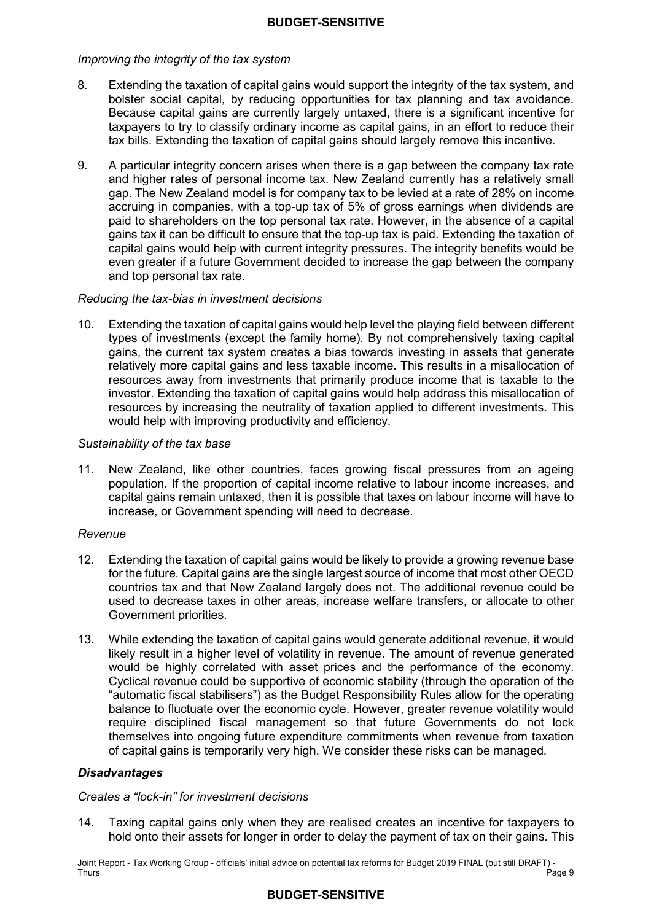#### *Improving the integrity of the tax system*

- 8. Extending the taxation of capital gains would support the integrity of the tax system, and bolster social capital, by reducing opportunities for tax planning and tax avoidance. Because capital gains are currently largely untaxed, there is a significant incentive for taxpayers to try to classify ordinary income as capital gains, in an effort to reduce their tax bills. Extending the taxation of capital gains should largely remove this incentive.
- $\mathbf{Q}$  and higher rates of personal income tax. New Zealand currently has a relatively small gap. The New Zealand model is for company tax to be levied at a rate of 28% on income accruing in companies, with a top-up tax of 5% of gross earnings when dividends are paid to shareholders on the top personal tax rate. However, in the absence of a capital gains tax it can be difficult to ensure that the top-up tax is paid. Extending the taxation of capital gains would help with current integrity pressures. The integrity benefits would be even greater if a future Government decided to increase the gap between the company and top personal tax rate. 9. A particular integrity concern arises when there is a gap between the company tax rate

#### *Reducing the tax-bias in investment decisions*

 10. Extending the taxation of capital gains would help level the playing field between different types of investments (except the family home). By not comprehensively taxing capital gains, the current tax system creates a bias towards investing in assets that generate relatively more capital gains and less taxable income. This results in a misallocation of resources away from investments that primarily produce income that is taxable to the investor. Extending the taxation of capital gains would help address this misallocation of resources by increasing the neutrality of taxation applied to different investments. This would help with improving productivity and efficiency.

#### *Sustainability of the tax base*

 $11.$  population. If the proportion of capital income relative to labour income increases, and capital gains remain untaxed, then it is possible that taxes on labour income will have to increase, or Government spending will need to decrease. New Zealand, like other countries, faces growing fiscal pressures from an ageing

#### *Revenue*

- 12. Extending the taxation of capital gains would be likely to provide a growing revenue base for the future. Capital gains are the single largest source of income that most other OECD countries tax and that New Zealand largely does not. The additional revenue could be used to decrease taxes in other areas, increase welfare transfers, or allocate to other Government priorities.
- $13<sub>1</sub>$  likely result in a higher level of volatility in revenue. The amount of revenue generated would be highly correlated with asset prices and the performance of the economy. Cyclical revenue could be supportive of economic stability (through the operation of the "automatic fiscal stabilisers") as the Budget Responsibility Rules allow for the operating balance to fluctuate over the economic cycle. However, greater revenue volatility would require disciplined fiscal management so that future Governments do not lock themselves into ongoing future expenditure commitments when revenue from taxation of capital gains is temporarily very high. We consider these risks can be managed. 13. While extending the taxation of capital gains would generate additional revenue, it would

# *Disadvantages*

#### *Creates a "lock-in" for investment decisions*

 $14$  hold onto their assets for longer in order to delay the payment of tax on their gains. This Taxing capital gains only when they are realised creates an incentive for taxpayers to

 Joint Report - Tax Working Group - officials' initial advice on potential tax reforms for Budget 2019 FINAL (but still DRAFT) - Thurs Thurs Page 9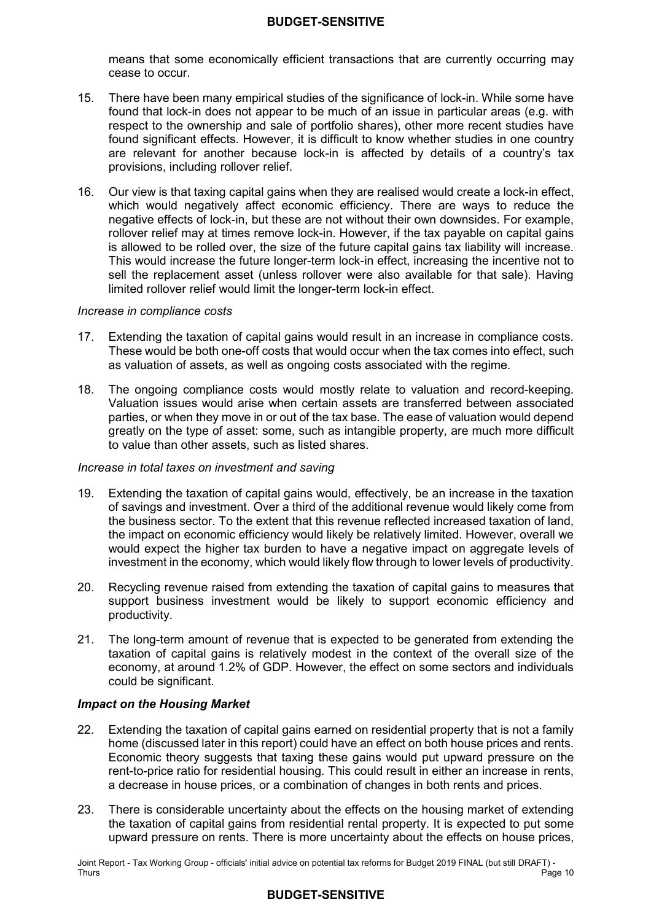means that some economically efficient transactions that are currently occurring may cease to occur.

- $15<sub>1</sub>$  found that lock-in does not appear to be much of an issue in particular areas (e.g. with respect to the ownership and sale of portfolio shares), other more recent studies have found significant effects. However, it is difficult to know whether studies in one country are relevant for another because lock-in is affected by details of a country's tax provisions, including rollover relief. There have been many empirical studies of the significance of lock-in. While some have
- 16. Our view is that taxing capital gains when they are realised would create a lock-in effect, which would negatively affect economic efficiency. There are ways to reduce the negative effects of lock-in, but these are not without their own downsides. For example, rollover relief may at times remove lock-in. However, if the tax payable on capital gains is allowed to be rolled over, the size of the future capital gains tax liability will increase. This would increase the future longer-term lock-in effect, increasing the incentive not to sell the replacement asset (unless rollover were also available for that sale). Having limited rollover relief would limit the longer-term lock-in effect.

#### *Increase in compliance costs*

- 17. Extending the taxation of capital gains would result in an increase in compliance costs. These would be both one-off costs that would occur when the tax comes into effect, such as valuation of assets, as well as ongoing costs associated with the regime.
- $18.$  Valuation issues would arise when certain assets are transferred between associated parties, or when they move in or out of the tax base. The ease of valuation would depend greatly on the type of asset: some, such as intangible property, are much more difficult to value than other assets, such as listed shares. The ongoing compliance costs would mostly relate to valuation and record-keeping.

#### *Increase in total taxes on investment and saving*

- 19. Extending the taxation of capital gains would, effectively, be an increase in the taxation of savings and investment. Over a third of the additional revenue would likely come from the business sector. To the extent that this revenue reflected increased taxation of land, the impact on economic efficiency would likely be relatively limited. However, overall we would expect the higher tax burden to have a negative impact on aggregate levels of investment in the economy, which would likely flow through to lower levels of productivity.
- 20. Recycling revenue raised from extending the taxation of capital gains to measures that support business investment would be likely to support economic efficiency and productivity.
- $21.$  taxation of capital gains is relatively modest in the context of the overall size of the economy, at around 1.2% of GDP. However, the effect on some sectors and individuals The long-term amount of revenue that is expected to be generated from extending the could be significant.

#### *Impact on the Housing Market*

- 22. Extending the taxation of capital gains earned on residential property that is not a family home (discussed later in this report) could have an effect on both house prices and rents. Economic theory suggests that taxing these gains would put upward pressure on the rent-to-price ratio for residential housing. This could result in either an increase in rents, a decrease in house prices, or a combination of changes in both rents and prices.
- $23.$  the taxation of capital gains from residential rental property. It is expected to put some upward pressure on rents. There is more uncertainty about the effects on house prices, There is considerable uncertainty about the effects on the housing market of extending

 Joint Report - Tax Working Group - officials' initial advice on potential tax reforms for Budget 2019 FINAL (but still DRAFT) - Thurs Thurs Page 10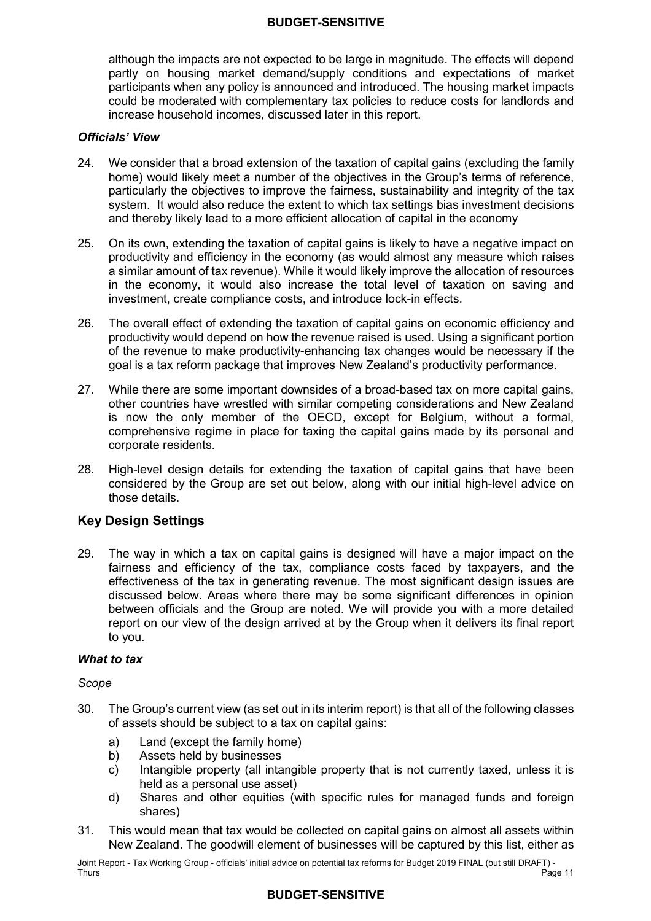although the impacts are not expected to be large in magnitude. The effects will depend partly on housing market demand/supply conditions and expectations of market participants when any policy is announced and introduced. The housing market impacts could be moderated with complementary tax policies to reduce costs for landlords and increase household incomes, discussed later in this report.

#### *Officials' View*

- $24.$  home) would likely meet a number of the objectives in the Group's terms of reference, particularly the objectives to improve the fairness, sustainability and integrity of the tax system. It would also reduce the extent to which tax settings bias investment decisions and thereby likely lead to a more efficient allocation of capital in the economy We consider that a broad extension of the taxation of capital gains (excluding the family
- $25.$  productivity and efficiency in the economy (as would almost any measure which raises a similar amount of tax revenue). While it would likely improve the allocation of resources in the economy, it would also increase the total level of taxation on saving and investment, create compliance costs, and introduce lock-in effects. 25. On its own, extending the taxation of capital gains is likely to have a negative impact on
- $26.$  productivity would depend on how the revenue raised is used. Using a significant portion of the revenue to make productivity-enhancing tax changes would be necessary if the goal is a tax reform package that improves New Zealand's productivity performance. The overall effect of extending the taxation of capital gains on economic efficiency and
- 27. While there are some important downsides of a broad-based tax on more capital gains, other countries have wrestled with similar competing considerations and New Zealand is now the only member of the OECD, except for Belgium, without a formal, comprehensive regime in place for taxing the capital gains made by its personal and corporate residents.
- 28. High-level design details for extending the taxation of capital gains that have been considered by the Group are set out below, along with our initial high-level advice on those details.

# **Key Design Settings**

29. fairness and efficiency of the tax, compliance costs faced by taxpayers, and the effectiveness of the tax in generating revenue. The most significant design issues are discussed below. Areas where there may be some significant differences in opinion between officials and the Group are noted. We will provide you with a more detailed report on our view of the design arrived at by the Group when it delivers its final report to you. The way in which a tax on capital gains is designed will have a major impact on the

#### *What to tax*

#### *Scope*

- 30. The Group's current view (as set out in its interim report) is that all of the following classes of assets should be subject to a tax on capital gains:
	- a) Land (except the family home)
	- b) b) Assets held by businesses
	- c) Intangible property (all intangible property that is not currently taxed, unless it is held as a personal use asset)
	- d) shares) Shares and other equities (with specific rules for managed funds and foreign
- $31.$  New Zealand. The goodwill element of businesses will be captured by this list, either as This would mean that tax would be collected on capital gains on almost all assets within

 Joint Report - Tax Working Group - officials' initial advice on potential tax reforms for Budget 2019 FINAL (but still DRAFT) - Thurs Thurs Page 11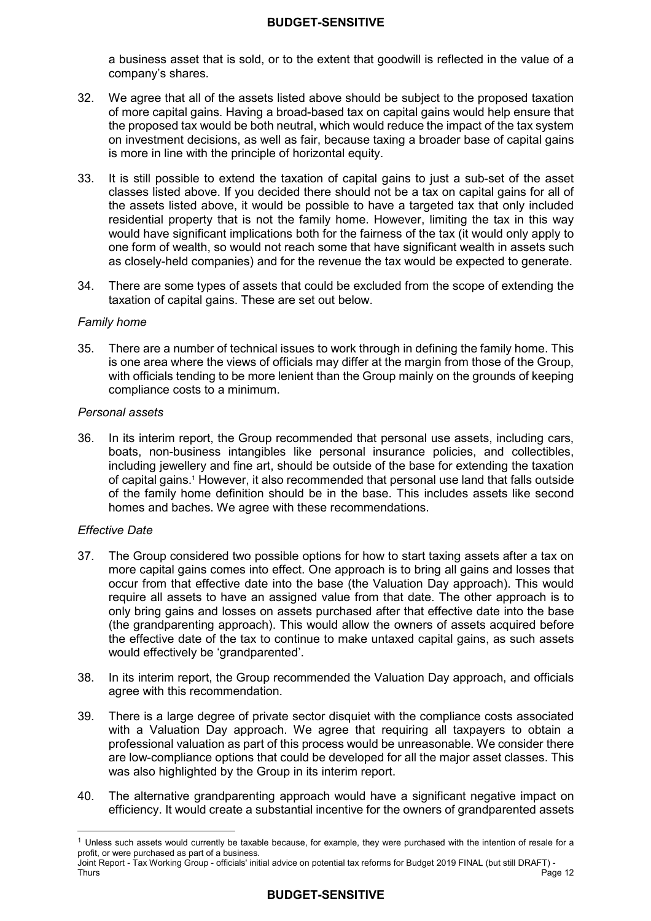a business asset that is sold, or to the extent that goodwill is reflected in the value of a company's shares.

- $32.$  of more capital gains. Having a broad-based tax on capital gains would help ensure that the proposed tax would be both neutral, which would reduce the impact of the tax system on investment decisions, as well as fair, because taxing a broader base of capital gains is more in line with the principle of horizontal equity. We agree that all of the assets listed above should be subject to the proposed taxation
- $33.$  classes listed above. If you decided there should not be a tax on capital gains for all of the assets listed above, it would be possible to have a targeted tax that only included residential property that is not the family home. However, limiting the tax in this way would have significant implications both for the fairness of the tax (it would only apply to one form of wealth, so would not reach some that have significant wealth in assets such as closely-held companies) and for the revenue the tax would be expected to generate. It is still possible to extend the taxation of capital gains to just a sub-set of the asset
- $34.$  taxation of capital gains. These are set out below. There are some types of assets that could be excluded from the scope of extending the

#### *Family home*

 $35.$  is one area where the views of officials may differ at the margin from those of the Group, with officials tending to be more lenient than the Group mainly on the grounds of keeping compliance costs to a minimum. There are a number of technical issues to work through in defining the family home. This

#### *Personal assets*

 36. In its interim report, the Group recommended that personal use assets, including cars, boats, non-business intangibles like personal insurance policies, and collectibles, including jewellery and fine art, should be outside of the base for extending the taxation of capital gains.1 However, it also recommended that personal use land that falls outside of the family home definition should be in the base. This includes assets like second homes and baches. We agree with these recommendations.

#### *Effective Date*

- $37.$  more capital gains comes into effect. One approach is to bring all gains and losses that occur from that effective date into the base (the Valuation Day approach). This would require all assets to have an assigned value from that date. The other approach is to only bring gains and losses on assets purchased after that effective date into the base (the grandparenting approach). This would allow the owners of assets acquired before the effective date of the tax to continue to make untaxed capital gains, as such assets would effectively be 'grandparented'. The Group considered two possible options for how to start taxing assets after a tax on
- 38. agree with this recommendation. In its interim report, the Group recommended the Valuation Day approach, and officials
- 39 with a Valuation Day approach. We agree that requiring all taxpayers to obtain a professional valuation as part of this process would be unreasonable. We consider there are low-compliance options that could be developed for all the major asset classes. This was also highlighted by the Group in its interim report. There is a large degree of private sector disquiet with the compliance costs associated
- 40. The alternative grandparenting approach would have a significant negative impact on efficiency. It would create a substantial incentive for the owners of grandparented assets

  $1$  Unless such assets would currently be taxable because, for example, they were purchased with the intention of resale for a profit, or were purchased as part of a business.

 Joint Report - Tax Working Group - officials' initial advice on potential tax reforms for Budget 2019 FINAL (but still DRAFT) - Thurs Thurs Page 12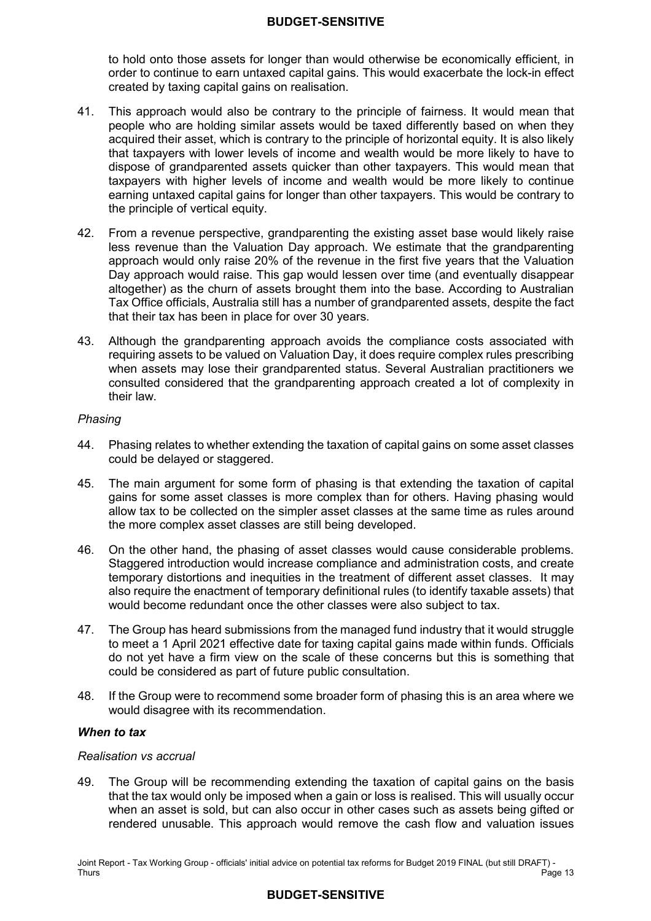to hold onto those assets for longer than would otherwise be economically efficient, in order to continue to earn untaxed capital gains. This would exacerbate the lock-in effect created by taxing capital gains on realisation.

- $41<sub>1</sub>$  people who are holding similar assets would be taxed differently based on when they acquired their asset, which is contrary to the principle of horizontal equity. It is also likely that taxpayers with lower levels of income and wealth would be more likely to have to dispose of grandparented assets quicker than other taxpayers. This would mean that taxpayers with higher levels of income and wealth would be more likely to continue earning untaxed capital gains for longer than other taxpayers. This would be contrary to the principle of vertical equity. This approach would also be contrary to the principle of fairness. It would mean that
- 42. less revenue than the Valuation Day approach. We estimate that the grandparenting approach would only raise 20% of the revenue in the first five years that the Valuation Day approach would raise. This gap would lessen over time (and eventually disappear altogether) as the churn of assets brought them into the base. According to Australian Tax Office officials, Australia still has a number of grandparented assets, despite the fact that their tax has been in place for over 30 years. 42. From a revenue perspective, grandparenting the existing asset base would likely raise
- 43. Although the grandparenting approach avoids the compliance costs associated with requiring assets to be valued on Valuation Day, it does require complex rules prescribing when assets may lose their grandparented status. Several Australian practitioners we their law. consulted considered that the grandparenting approach created a lot of complexity in

#### *Phasing*

- 44. could be delayed or staggered. Phasing relates to whether extending the taxation of capital gains on some asset classes
- 45. gains for some asset classes is more complex than for others. Having phasing would allow tax to be collected on the simpler asset classes at the same time as rules around the more complex asset classes are still being developed. The main argument for some form of phasing is that extending the taxation of capital
- $46.$  Staggered introduction would increase compliance and administration costs, and create temporary distortions and inequities in the treatment of different asset classes. It may also require the enactment of temporary definitional rules (to identify taxable assets) that would become redundant once the other classes were also subject to tax. On the other hand, the phasing of asset classes would cause considerable problems.
- 47. to meet a 1 April 2021 effective date for taxing capital gains made within funds. Officials do not yet have a firm view on the scale of these concerns but this is something that could be considered as part of future public consultation. The Group has heard submissions from the managed fund industry that it would struggle
- 48. If the Group were to recommend some broader form of phasing this is an area where we would disagree with its recommendation.

#### *When to tax*

#### *Realisation vs accrual*

49. that the tax would only be imposed when a gain or loss is realised. This will usually occur when an asset is sold, but can also occur in other cases such as assets being gifted or rendered unusable. This approach would remove the cash flow and valuation issues The Group will be recommending extending the taxation of capital gains on the basis

 Joint Report - Tax Working Group - officials' initial advice on potential tax reforms for Budget 2019 FINAL (but still DRAFT) - Thurs Thurs Page 13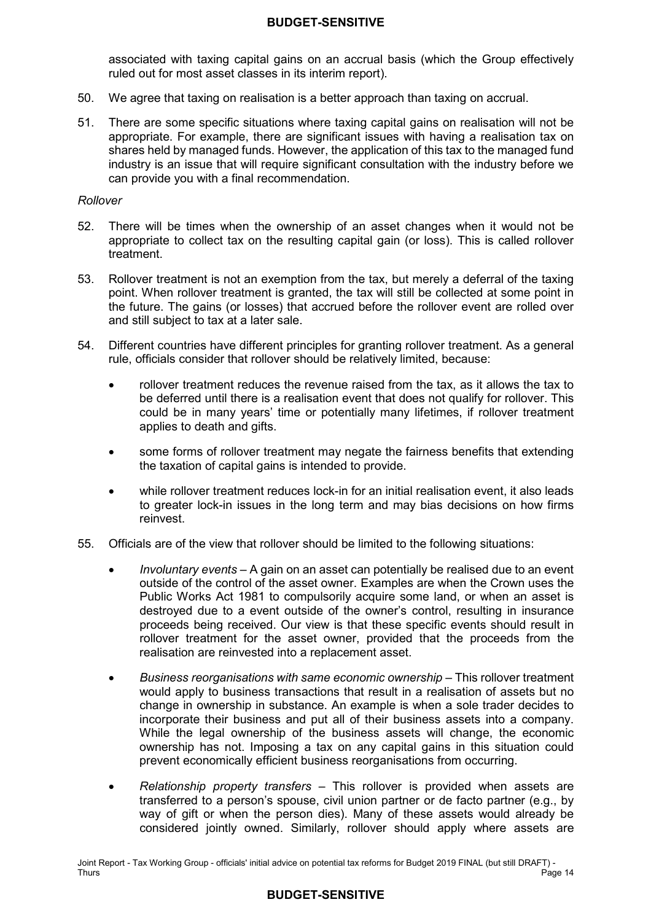associated with taxing capital gains on an accrual basis (which the Group effectively ruled out for most asset classes in its interim report).

- $50.$ We agree that taxing on realisation is a better approach than taxing on accrual.
- $51.$  appropriate. For example, there are significant issues with having a realisation tax on shares held by managed funds. However, the application of this tax to the managed fund industry is an issue that will require significant consultation with the industry before we can provide you with a final recommendation. There are some specific situations where taxing capital gains on realisation will not be

#### *Rollover*

- $52.$  appropriate to collect tax on the resulting capital gain (or loss). This is called rollover treatment. There will be times when the ownership of an asset changes when it would not be
- $53.$  point. When rollover treatment is granted, the tax will still be collected at some point in the future. The gains (or losses) that accrued before the rollover event are rolled over and still subject to tax at a later sale. 53. Rollover treatment is not an exemption from the tax, but merely a deferral of the taxing
- 54 rule, officials consider that rollover should be relatively limited, because: Different countries have different principles for granting rollover treatment. As a general
	- • rollover treatment reduces the revenue raised from the tax, as it allows the tax to be deferred until there is a realisation event that does not qualify for rollover. This could be in many years' time or potentially many lifetimes, if rollover treatment applies to death and gifts.
	- • some forms of rollover treatment may negate the fairness benefits that extending the taxation of capital gains is intended to provide.
	- to greater lock-in issues in the long term and may bias decisions on how firms • while rollover treatment reduces lock-in for an initial realisation event, it also leads reinvest.
- 55 55. Officials are of the view that rollover should be limited to the following situations:
	- • *Involuntary events*  A gain on an asset can potentially be realised due to an event outside of the control of the asset owner. Examples are when the Crown uses the Public Works Act 1981 to compulsorily acquire some land, or when an asset is destroyed due to a event outside of the owner's control, resulting in insurance proceeds being received. Our view is that these specific events should result in rollover treatment for the asset owner, provided that the proceeds from the realisation are reinvested into a replacement asset.
	- **Business reorganisations with same economic ownership This rollover treatment**  would apply to business transactions that result in a realisation of assets but no change in ownership in substance. An example is when a sole trader decides to incorporate their business and put all of their business assets into a company. While the legal ownership of the business assets will change, the economic ownership has not. Imposing a tax on any capital gains in this situation could prevent economically efficient business reorganisations from occurring.
	- • *Relationship property transfers* This rollover is provided when assets are transferred to a person's spouse, civil union partner or de facto partner (e.g., by way of gift or when the person dies). Many of these assets would already be considered jointly owned. Similarly, rollover should apply where assets are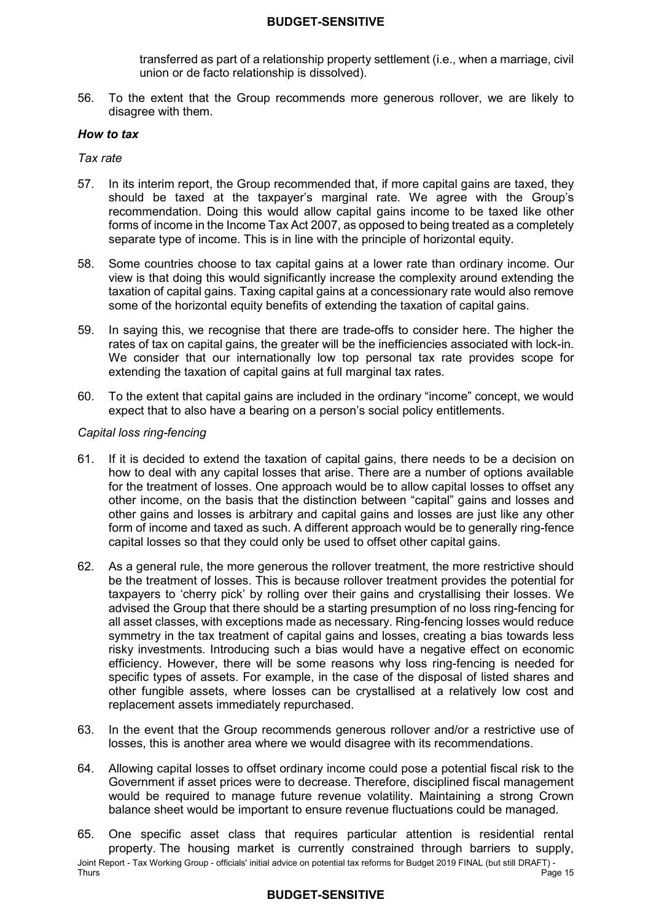transferred as part of a relationship property settlement (i.e., when a marriage, civil union or de facto relationship is dissolved).

 $56.$  disagree with them. 56. To the extent that the Group recommends more generous rollover, we are likely to

#### *How to tax*

*Tax rate* 

- 57. should be taxed at the taxpayer's marginal rate. We agree with the Group's recommendation. Doing this would allow capital gains income to be taxed like other forms of income in the Income Tax Act 2007, as opposed to being treated as a completely separate type of income. This is in line with the principle of horizontal equity. In its interim report, the Group recommended that, if more capital gains are taxed, they
- 58. Some countries choose to tax capital gains at a lower rate than ordinary income. Our view is that doing this would significantly increase the complexity around extending the taxation of capital gains. Taxing capital gains at a concessionary rate would also remove some of the horizontal equity benefits of extending the taxation of capital gains.
- 59. In saying this, we recognise that there are trade-offs to consider here. The higher the rates of tax on capital gains, the greater will be the inefficiencies associated with lock-in. We consider that our internationally low top personal tax rate provides scope for extending the taxation of capital gains at full marginal tax rates.
- 60. To the extent that capital gains are included in the ordinary "income" concept, we would expect that to also have a bearing on a person's social policy entitlements.

#### *Capital loss ring-fencing*

- 61. how to deal with any capital losses that arise. There are a number of options available for the treatment of losses. One approach would be to allow capital losses to offset any other income, on the basis that the distinction between "capital" gains and losses and other gains and losses is arbitrary and capital gains and losses are just like any other form of income and taxed as such. A different approach would be to generally ring-fence capital losses so that they could only be used to offset other capital gains. If it is decided to extend the taxation of capital gains, there needs to be a decision on
- 62. be the treatment of losses. This is because rollover treatment provides the potential for taxpayers to 'cherry pick' by rolling over their gains and crystallising their losses. We advised the Group that there should be a starting presumption of no loss ring-fencing for all asset classes, with exceptions made as necessary. Ring-fencing losses would reduce symmetry in the tax treatment of capital gains and losses, creating a bias towards less risky investments. Introducing such a bias would have a negative effect on economic efficiency. However, there will be some reasons why loss ring-fencing is needed for specific types of assets. For example, in the case of the disposal of listed shares and other fungible assets, where losses can be crystallised at a relatively low cost and replacement assets immediately repurchased. As a general rule, the more generous the rollover treatment, the more restrictive should
- 63. In the event that the Group recommends generous rollover and/or a restrictive use of losses, this is another area where we would disagree with its recommendations.
- 64 Government if asset prices were to decrease. Therefore, disciplined fiscal management would be required to manage future revenue volatility. Maintaining a strong Crown balance sheet would be important to ensure revenue fluctuations could be managed. 64. Allowing capital losses to offset ordinary income could pose a potential fiscal risk to the
- Joint Report Tax Working Group officials' initial advice on potential tax reforms for Budget 2019 FINAL (but still DRAFT) Thurs 65. property. The housing market is currently constrained through barriers to supply, One specific asset class that requires particular attention is residential rental Thurs Page 15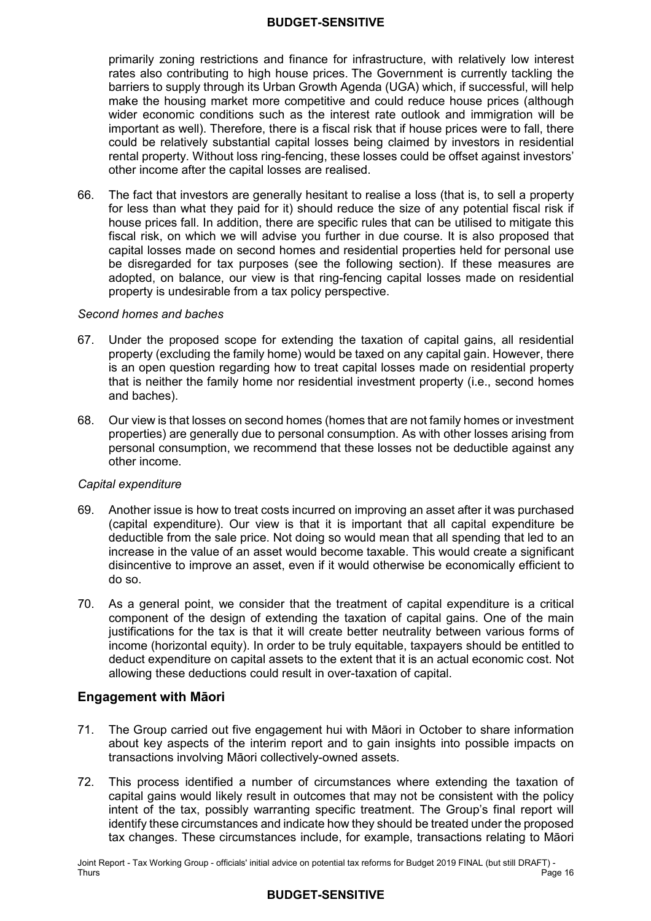primarily zoning restrictions and finance for infrastructure, with relatively low interest rates also contributing to high house prices. The Government is currently tackling the barriers to supply through its Urban Growth Agenda (UGA) which, if successful, will help make the housing market more competitive and could reduce house prices (although wider economic conditions such as the interest rate outlook and immigration will be important as well). Therefore, there is a fiscal risk that if house prices were to fall, there could be relatively substantial capital losses being claimed by investors in residential rental property. Without loss ring-fencing, these losses could be offset against investors' other income after the capital losses are realised.

66. for less than what they paid for it) should reduce the size of any potential fiscal risk if house prices fall. In addition, there are specific rules that can be utilised to mitigate this fiscal risk, on which we will advise you further in due course. It is also proposed that capital losses made on second homes and residential properties held for personal use be disregarded for tax purposes (see the following section). If these measures are adopted, on balance, our view is that ring-fencing capital losses made on residential property is undesirable from a tax policy perspective. The fact that investors are generally hesitant to realise a loss (that is, to sell a property

#### *Second homes and baches*

- 67. Under the proposed scope for extending the taxation of capital gains, all residential property (excluding the family home) would be taxed on any capital gain. However, there is an open question regarding how to treat capital losses made on residential property that is neither the family home nor residential investment property (i.e., second homes and baches).
- 68. properties) are generally due to personal consumption. As with other losses arising from personal consumption, we recommend that these losses not be deductible against any other income. 68. Our view is that losses on second homes (homes that are not family homes or investment

#### *Capital expenditure*

- 69. (capital expenditure). Our view is that it is important that all capital expenditure be deductible from the sale price. Not doing so would mean that all spending that led to an increase in the value of an asset would become taxable. This would create a significant disincentive to improve an asset, even if it would otherwise be economically efficient to do so. Another issue is how to treat costs incurred on improving an asset after it was purchased
- 70. component of the design of extending the taxation of capital gains. One of the main justifications for the tax is that it will create better neutrality between various forms of income (horizontal equity). In order to be truly equitable, taxpayers should be entitled to deduct expenditure on capital assets to the extent that it is an actual economic cost. Not allowing these deductions could result in over-taxation of capital. As a general point, we consider that the treatment of capital expenditure is a critical

# **Engagement with Māori**

- 71. The Group carried out five engagement hui with Māori in October to share information about key aspects of the interim report and to gain insights into possible impacts on transactions involving Māori collectively-owned assets.
- $72.$  capital gains would likely result in outcomes that may not be consistent with the policy intent of the tax, possibly warranting specific treatment. The Group's final report will identify these circumstances and indicate how they should be treated under the proposed tax changes. These circumstances include, for example, transactions relating to Māori This process identified a number of circumstances where extending the taxation of

 Joint Report - Tax Working Group - officials' initial advice on potential tax reforms for Budget 2019 FINAL (but still DRAFT) - Thurs Thurs Page 16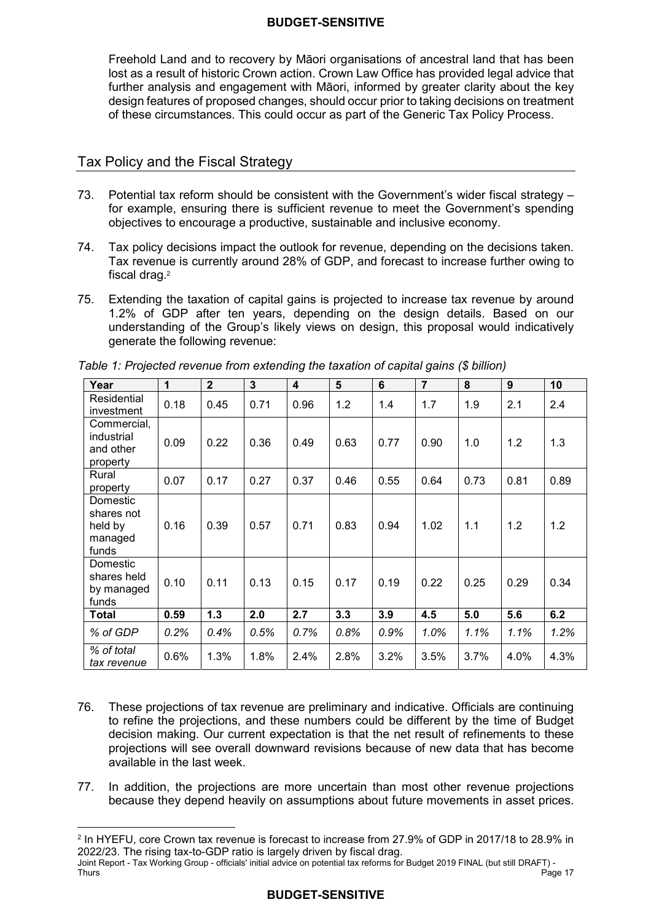Freehold Land and to recovery by Māori organisations of ancestral land that has been lost as a result of historic Crown action. Crown Law Office has provided legal advice that further analysis and engagement with Māori, informed by greater clarity about the key design features of proposed changes, should occur prior to taking decisions on treatment of these circumstances. This could occur as part of the Generic Tax Policy Process.

# Tax Policy and the Fiscal Strategy

 $\overline{a}$ 

- 73. for example, ensuring there is sufficient revenue to meet the Government's spending objectives to encourage a productive, sustainable and inclusive economy. Potential tax reform should be consistent with the Government's wider fiscal strategy –
- 74. Tax revenue is currently around 28% of GDP, and forecast to increase further owing to fiscal drag.2 Tax policy decisions impact the outlook for revenue, depending on the decisions taken.
- 75. Extending the taxation of capital gains is projected to increase tax revenue by around 1.2% of GDP after ten years, depending on the design details. Based on our understanding of the Group's likely views on design, this proposal would indicatively generate the following revenue:

| Year                                                  | 1    | $\overline{2}$ | $\mathbf{3}$ | 4    | 5    | 6    | $\overline{7}$ | 8    | 9    | 10   |
|-------------------------------------------------------|------|----------------|--------------|------|------|------|----------------|------|------|------|
| Residential<br>investment                             | 0.18 | 0.45           | 0.71         | 0.96 | 1.2  | 1.4  | 1.7            | 1.9  | 2.1  | 2.4  |
| Commercial,<br>industrial<br>and other<br>property    | 0.09 | 0.22           | 0.36         | 0.49 | 0.63 | 0.77 | 0.90           | 1.0  | 1.2  | 1.3  |
| Rural<br>property                                     | 0.07 | 0.17           | 0.27         | 0.37 | 0.46 | 0.55 | 0.64           | 0.73 | 0.81 | 0.89 |
| Domestic<br>shares not<br>held by<br>managed<br>funds | 0.16 | 0.39           | 0.57         | 0.71 | 0.83 | 0.94 | 1.02           | 1.1  | 1.2  | 1.2  |
| Domestic<br>shares held<br>by managed<br>funds        | 0.10 | 0.11           | 0.13         | 0.15 | 0.17 | 0.19 | 0.22           | 0.25 | 0.29 | 0.34 |
| <b>Total</b>                                          | 0.59 | 1.3            | 2.0          | 2.7  | 3.3  | 3.9  | 4.5            | 5.0  | 5.6  | 6.2  |
| % of GDP                                              | 0.2% | 0.4%           | 0.5%         | 0.7% | 0.8% | 0.9% | 1.0%           | 1.1% | 1.1% | 1.2% |
| % of total<br>tax revenue                             | 0.6% | 1.3%           | 1.8%         | 2.4% | 2.8% | 3.2% | 3.5%           | 3.7% | 4.0% | 4.3% |

*Table 1: Projected revenue from extending the taxation of capital gains (\$ billion)* 

- 76. to refine the projections, and these numbers could be different by the time of Budget decision making. Our current expectation is that the net result of refinements to these projections will see overall downward revisions because of new data that has become available in the last week. These projections of tax revenue are preliminary and indicative. Officials are continuing
- 77. In addition, the projections are more uncertain than most other revenue projections because they depend heavily on assumptions about future movements in asset prices.

 $^2$  In HYEFU, core Crown tax revenue is forecast to increase from 27.9% of GDP in 2017/18 to 28.9% in 2022/23. The rising tax-to-GDP ratio is largely driven by fiscal drag.

 Joint Report - Tax Working Group - officials' initial advice on potential tax reforms for Budget 2019 FINAL (but still DRAFT) - Thurs Thurs Page 17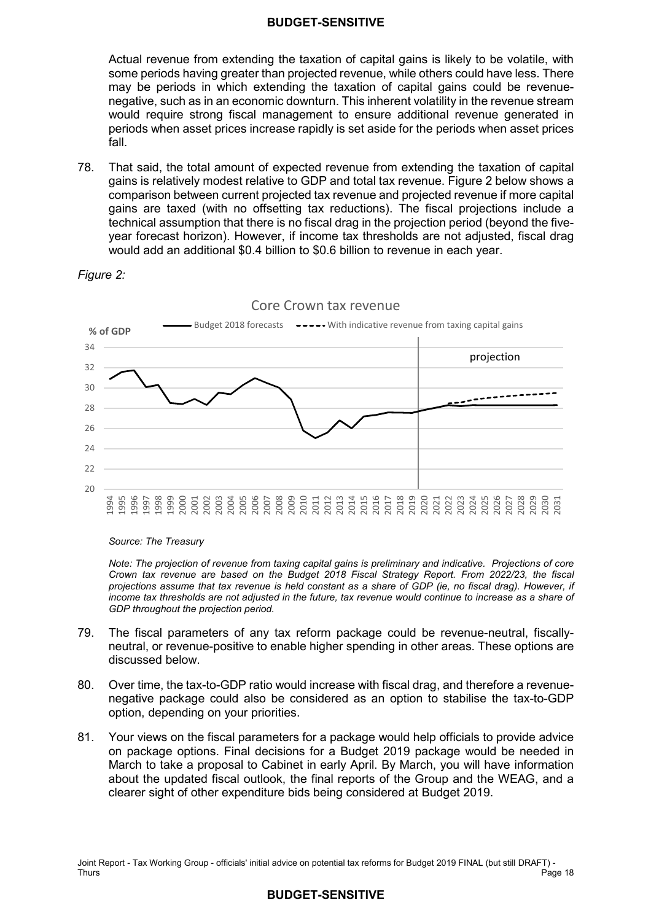Actual revenue from extending the taxation of capital gains is likely to be volatile, with some periods having greater than projected revenue, while others could have less. There may be periods in which extending the taxation of capital gains could be revenue- negative, such as in an economic downturn. This inherent volatility in the revenue stream would require strong fiscal management to ensure additional revenue generated in periods when asset prices increase rapidly is set aside for the periods when asset prices fall.

78. gains is relatively modest relative to GDP and total tax revenue. Figure 2 below shows a comparison between current projected tax revenue and projected revenue if more capital gains are taxed (with no offsetting tax reductions). The fiscal projections include a technical assumption that there is no fiscal drag in the projection period (beyond the five- year forecast horizon). However, if income tax thresholds are not adjusted, fiscal drag would add an additional \$0.4 billion to \$0.6 billion to revenue in each year. That said, the total amount of expected revenue from extending the taxation of capital





Core Crown tax revenue

#### *Source: The Treasury*

 *projections assume that tax revenue is held constant as a share of GDP (ie, no fiscal drag). However, if Note: The projection of revenue from taxing capital gains is preliminary and indicative. Projections of core Crown tax revenue are based on the Budget 2018 Fiscal Strategy Report. From 2022/23, the fiscal income tax thresholds are not adjusted in the future, tax revenue would continue to increase as a share of GDP throughout the projection period.* 

- 79. The fiscal parameters of any tax reform package could be revenue-neutral, fiscally- neutral, or revenue-positive to enable higher spending in other areas. These options are discussed below.
- 80. negative package could also be considered as an option to stabilise the tax-to-GDP option, depending on your priorities. Over time, the tax-to-GDP ratio would increase with fiscal drag, and therefore a revenue-
- $81.$  on package options. Final decisions for a Budget 2019 package would be needed in March to take a proposal to Cabinet in early April. By March, you will have information about the updated fiscal outlook, the final reports of the Group and the WEAG, and a clearer sight of other expenditure bids being considered at Budget 2019. Your views on the fiscal parameters for a package would help officials to provide advice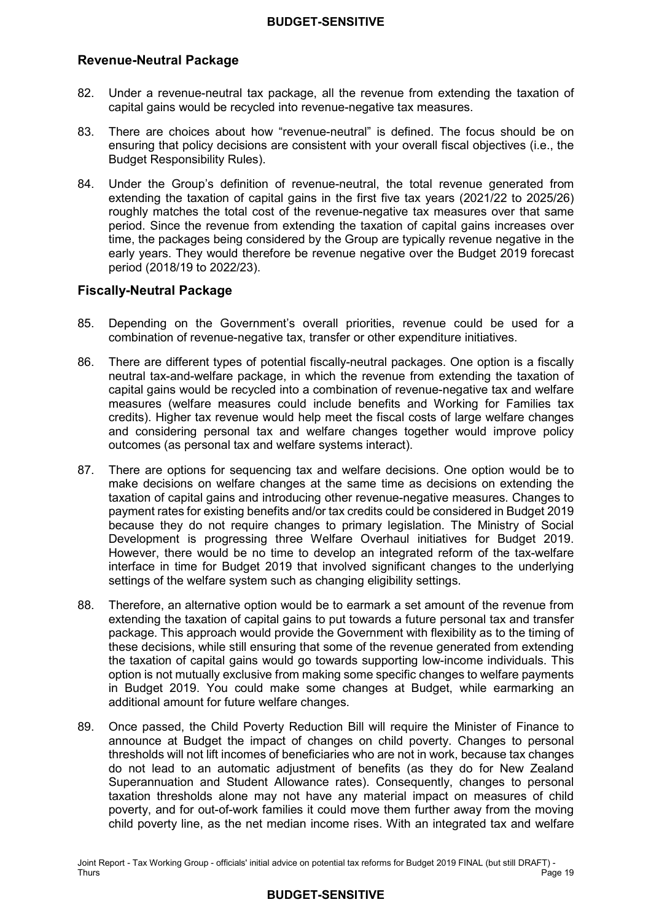# **Revenue-Neutral Package**

- 82 capital gains would be recycled into revenue-negative tax measures. Under a revenue-neutral tax package, all the revenue from extending the taxation of
- 83 ensuring that policy decisions are consistent with your overall fiscal objectives (i.e., the Budget Responsibility Rules). There are choices about how "revenue-neutral" is defined. The focus should be on
- 84. extending the taxation of capital gains in the first five tax years (2021/22 to 2025/26) roughly matches the total cost of the revenue-negative tax measures over that same period. Since the revenue from extending the taxation of capital gains increases over time, the packages being considered by the Group are typically revenue negative in the early years. They would therefore be revenue negative over the Budget 2019 forecast period (2018/19 to 2022/23). Under the Group's definition of revenue-neutral, the total revenue generated from

# **Fiscally-Neutral Package**

- 85. Depending on the Government's overall priorities, revenue could be used for a combination of revenue-negative tax, transfer or other expenditure initiatives.
- 86. neutral tax-and-welfare package, in which the revenue from extending the taxation of capital gains would be recycled into a combination of revenue-negative tax and welfare measures (welfare measures could include benefits and Working for Families tax credits). Higher tax revenue would help meet the fiscal costs of large welfare changes and considering personal tax and welfare changes together would improve policy outcomes (as personal tax and welfare systems interact). There are different types of potential fiscally-neutral packages. One option is a fiscally
- 87. There are options for sequencing tax and welfare decisions. One option would be to make decisions on welfare changes at the same time as decisions on extending the taxation of capital gains and introducing other revenue-negative measures. Changes to payment rates for existing benefits and/or tax credits could be considered in Budget 2019 because they do not require changes to primary legislation. The Ministry of Social Development is progressing three Welfare Overhaul initiatives for Budget 2019. However, there would be no time to develop an integrated reform of the tax-welfare interface in time for Budget 2019 that involved significant changes to the underlying settings of the welfare system such as changing eligibility settings.
- 88. Therefore, an alternative option would be to earmark a set amount of the revenue from extending the taxation of capital gains to put towards a future personal tax and transfer package. This approach would provide the Government with flexibility as to the timing of these decisions, while still ensuring that some of the revenue generated from extending the taxation of capital gains would go towards supporting low-income individuals. This option is not mutually exclusive from making some specific changes to welfare payments in Budget 2019. You could make some changes at Budget, while earmarking an additional amount for future welfare changes.
- 89. announce at Budget the impact of changes on child poverty. Changes to personal thresholds will not lift incomes of beneficiaries who are not in work, because tax changes do not lead to an automatic adjustment of benefits (as they do for New Zealand Superannuation and Student Allowance rates). Consequently, changes to personal taxation thresholds alone may not have any material impact on measures of child poverty, and for out-of-work families it could move them further away from the moving child poverty line, as the net median income rises. With an integrated tax and welfare 89. Once passed, the Child Poverty Reduction Bill will require the Minister of Finance to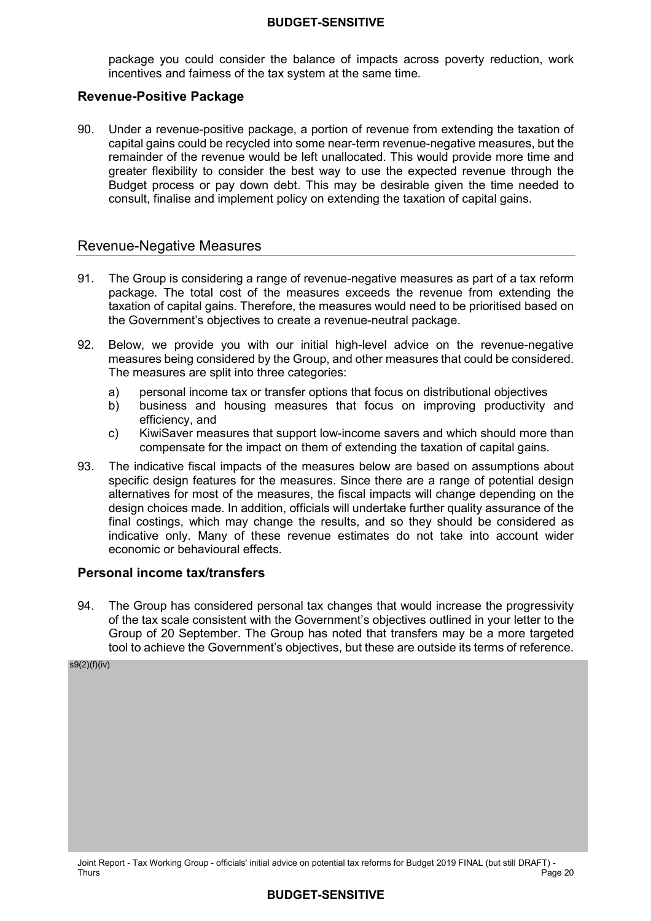package you could consider the balance of impacts across poverty reduction, work incentives and fairness of the tax system at the same time.

#### **Revenue-Positive Package**

 90. Under a revenue-positive package, a portion of revenue from extending the taxation of capital gains could be recycled into some near-term revenue-negative measures, but the remainder of the revenue would be left unallocated. This would provide more time and greater flexibility to consider the best way to use the expected revenue through the Budget process or pay down debt. This may be desirable given the time needed to consult, finalise and implement policy on extending the taxation of capital gains.

#### Revenue-Negative Measures

- 91. The Group is considering a range of revenue-negative measures as part of a tax reform package. The total cost of the measures exceeds the revenue from extending the taxation of capital gains. Therefore, the measures would need to be prioritised based on the Government's objectives to create a revenue-neutral package.
- 92 measures being considered by the Group, and other measures that could be considered. The measures are split into three categories: Below, we provide you with our initial high-level advice on the revenue-negative
	- a) personal income tax or transfer options that focus on distributional objectives
	- b) business and housing measures that focus on improving productivity and efficiency, and
	- c) KiwiSaver measures that support low-income savers and which should more than compensate for the impact on them of extending the taxation of capital gains.
- 93. The indicative fiscal impacts of the measures below are based on assumptions about specific design features for the measures. Since there are a range of potential design alternatives for most of the measures, the fiscal impacts will change depending on the design choices made. In addition, officials will undertake further quality assurance of the final costings, which may change the results, and so they should be considered as indicative only. Many of these revenue estimates do not take into account wider economic or behavioural effects.

# **Personal income tax/transfers**

94 of the tax scale consistent with the Government's objectives outlined in your letter to the Group of 20 September. The Group has noted that transfers may be a more targeted tool to achieve the Government's objectives, but these are outside its terms of reference. The Group has considered personal tax changes that would increase the progressivity

s9(2)(f)(iv)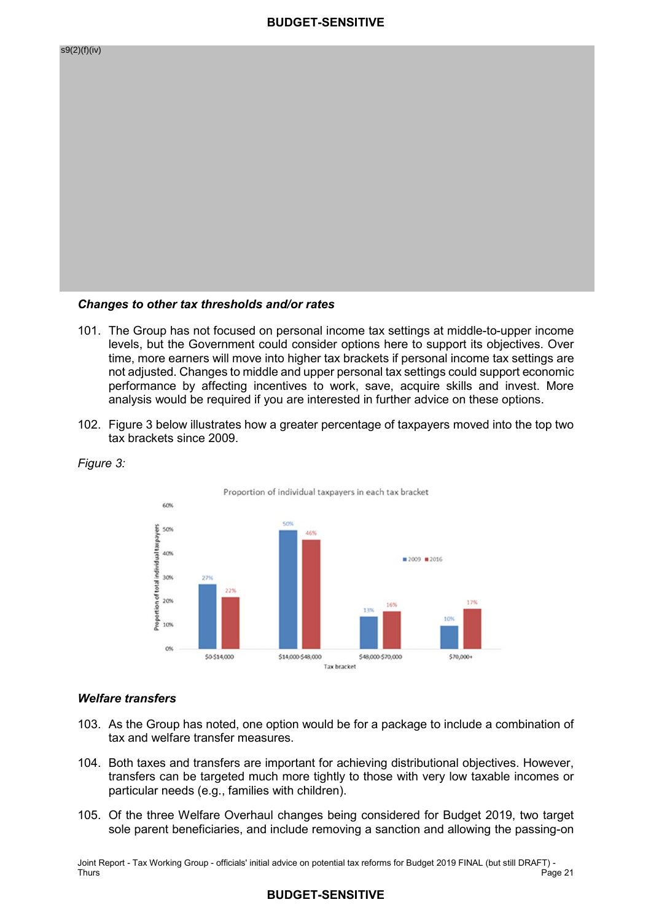

#### *Changes to other tax thresholds and/or rates*

- 101. The Group has not focused on personal income tax settings at middle-to-upper income levels, but the Government could consider options here to support its objectives. Over time, more earners will move into higher tax brackets if personal income tax settings are not adjusted. Changes to middle and upper personal tax settings could support economic performance by affecting incentives to work, save, acquire skills and invest. More analysis would be required if you are interested in further advice on these options.
- 102. Figure 3 below illustrates how a greater percentage of taxpayers moved into the top two tax brackets since 2009.





#### *Welfare transfers*

- 103. As the Group has noted, one option would be for a package to include a combination of tax and welfare transfer measures.
- 104. Both taxes and transfers are important for achieving distributional objectives. However, transfers can be targeted much more tightly to those with very low taxable incomes or particular needs (e.g., families with children).
- 105. Of the three Welfare Overhaul changes being considered for Budget 2019, two target sole parent beneficiaries, and include removing a sanction and allowing the passing-on

 Joint Report - Tax Working Group - officials' initial advice on potential tax reforms for Budget 2019 FINAL (but still DRAFT) - Thurs Page 21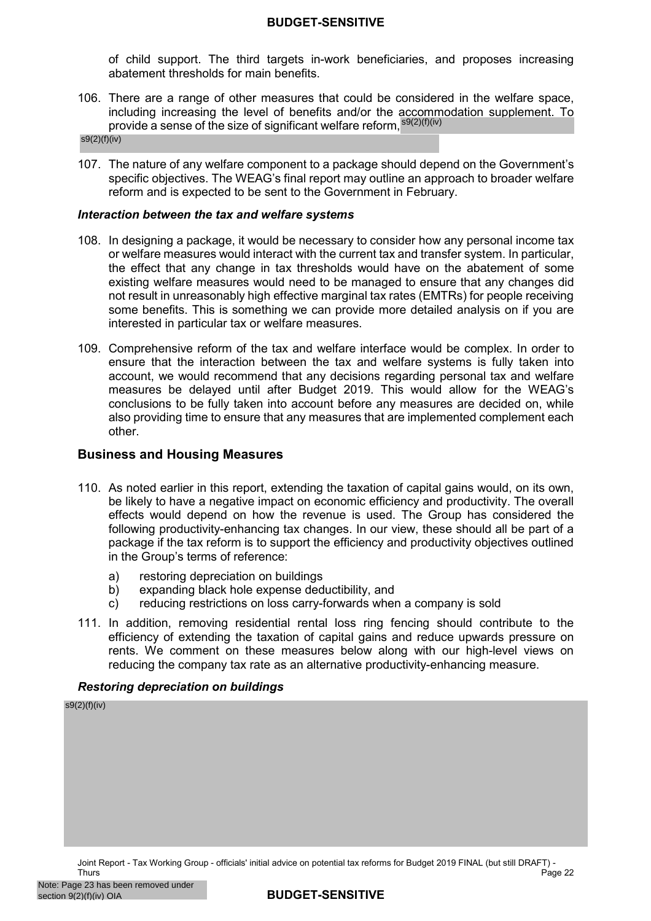of child support. The third targets in-work beneficiaries, and proposes increasing abatement thresholds for main benefits.

 106. There are a range of other measures that could be considered in the welfare space, including increasing the level of benefits and/or the accommodation supplement. To provide a sense of the size of significant welfare reform, <sup>s9(2)(f)(iv)</sup>

s9(2)(f)(iv)

 107. The nature of any welfare component to a package should depend on the Government's specific objectives. The WEAG's final report may outline an approach to broader welfare reform and is expected to be sent to the Government in February.

#### *Interaction between the tax and welfare systems*

- 108. In designing a package, it would be necessary to consider how any personal income tax or welfare measures would interact with the current tax and transfer system. In particular, the effect that any change in tax thresholds would have on the abatement of some existing welfare measures would need to be managed to ensure that any changes did not result in unreasonably high effective marginal tax rates (EMTRs) for people receiving some benefits. This is something we can provide more detailed analysis on if you are interested in particular tax or welfare measures.
- 109. Comprehensive reform of the tax and welfare interface would be complex. In order to ensure that the interaction between the tax and welfare systems is fully taken into account, we would recommend that any decisions regarding personal tax and welfare measures be delayed until after Budget 2019. This would allow for the WEAG's conclusions to be fully taken into account before any measures are decided on, while also providing time to ensure that any measures that are implemented complement each other.

# **Business and Housing Measures**

- 110. As noted earlier in this report, extending the taxation of capital gains would, on its own, be likely to have a negative impact on economic efficiency and productivity. The overall effects would depend on how the revenue is used. The Group has considered the following productivity-enhancing tax changes. In our view, these should all be part of a package if the tax reform is to support the efficiency and productivity objectives outlined in the Group's terms of reference:
	- a) restoring depreciation on buildings
	- b) expanding black hole expense deductibility, and
	- c) reducing restrictions on loss carry-forwards when a company is sold
- 111. In addition, removing residential rental loss ring fencing should contribute to the efficiency of extending the taxation of capital gains and reduce upwards pressure on rents. We comment on these measures below along with our high-level views on reducing the company tax rate as an alternative productivity-enhancing measure.

#### *Restoring depreciation on buildings*

s9(2)(f)(iv)

 Joint Report - Tax Working Group - officials' initial advice on potential tax reforms for Budget 2019 FINAL (but still DRAFT) - Thurs Thurs Page 22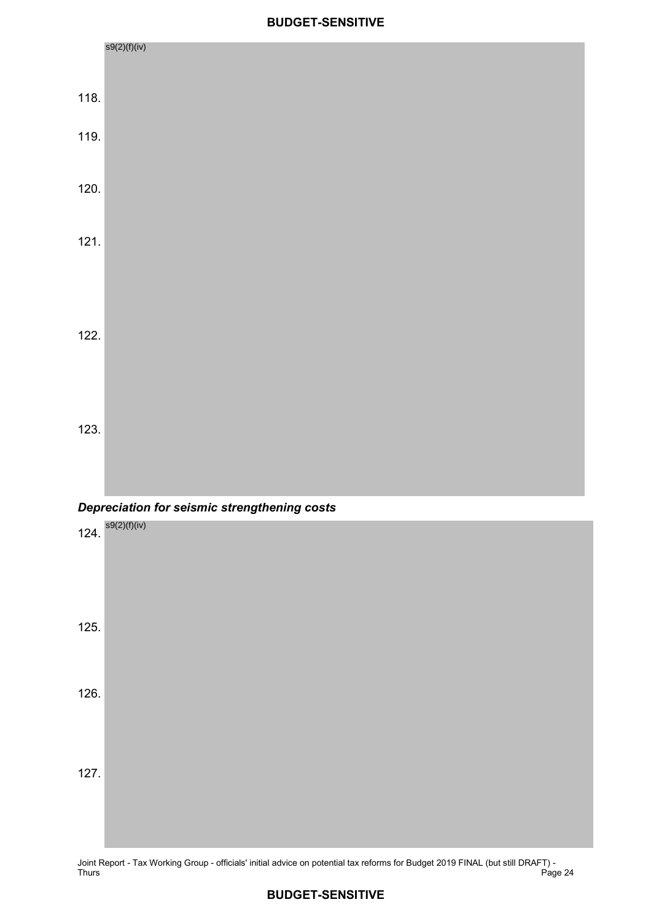



Joint Report - Tax Working Group - officials' initial advice on potential tax reforms for Budget 2019 FINAL (but still DRAFT) - Thurs Page 24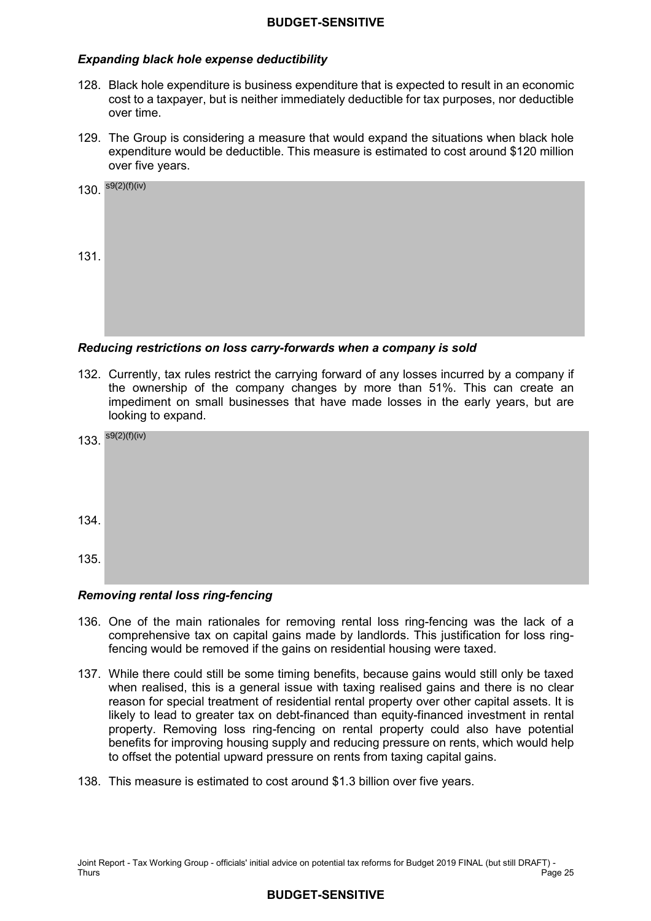#### *Expanding black hole expense deductibility*

- 128. Black hole expenditure is business expenditure that is expected to result in an economic cost to a taxpayer, but is neither immediately deductible for tax purposes, nor deductible over time.
- 129. The Group is considering a measure that would expand the situations when black hole expenditure would be deductible. This measure is estimated to cost around \$120 million over five years.

|      | 130. $s9(2)(f)(iv)$ |
|------|---------------------|
| 131. |                     |

#### *Reducing restrictions on loss carry-forwards when a company is sold*

 132. Currently, tax rules restrict the carrying forward of any losses incurred by a company if the ownership of the company changes by more than 51%. This can create an impediment on small businesses that have made losses in the early years, but are looking to expand.

|      | 133. $s9(2)(f)(iv)$ |
|------|---------------------|
| 134. |                     |
| 135. |                     |

#### *Removing rental loss ring-fencing*

- 136. One of the main rationales for removing rental loss ring-fencing was the lack of a comprehensive tax on capital gains made by landlords. This justification for loss ring-fencing would be removed if the gains on residential housing were taxed.
- 137. While there could still be some timing benefits, because gains would still only be taxed when realised, this is a general issue with taxing realised gains and there is no clear reason for special treatment of residential rental property over other capital assets. It is likely to lead to greater tax on debt-financed than equity-financed investment in rental property. Removing loss ring-fencing on rental property could also have potential benefits for improving housing supply and reducing pressure on rents, which would help to offset the potential upward pressure on rents from taxing capital gains.
- 138. This measure is estimated to cost around \$1.3 billion over five years.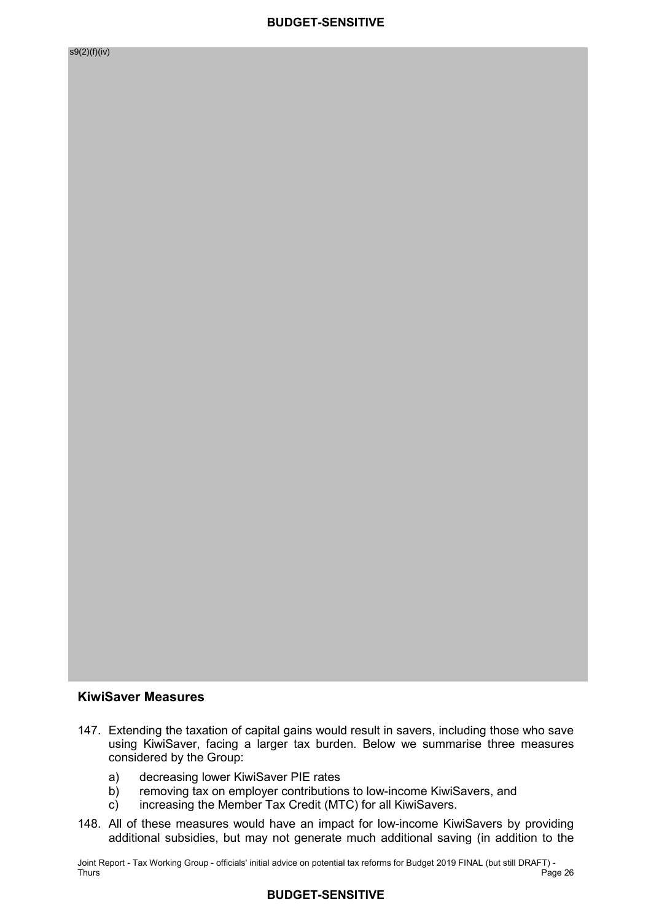#### **KiwiSaver Measures**

- 147. Extending the taxation of capital gains would result in savers, including those who save using KiwiSaver, facing a larger tax burden. Below we summarise three measures considered by the Group:
	- a) decreasing lower KiwiSaver PIE rates
	- b) removing tax on employer contributions to low-income KiwiSavers, and
	- c) increasing the Member Tax Credit (MTC) for all KiwiSavers.
- 148. All of these measures would have an impact for low-income KiwiSavers by providing additional subsidies, but may not generate much additional saving (in addition to the

 Joint Report - Tax Working Group - officials' initial advice on potential tax reforms for Budget 2019 FINAL (but still DRAFT) - Thurs Thurs Page 26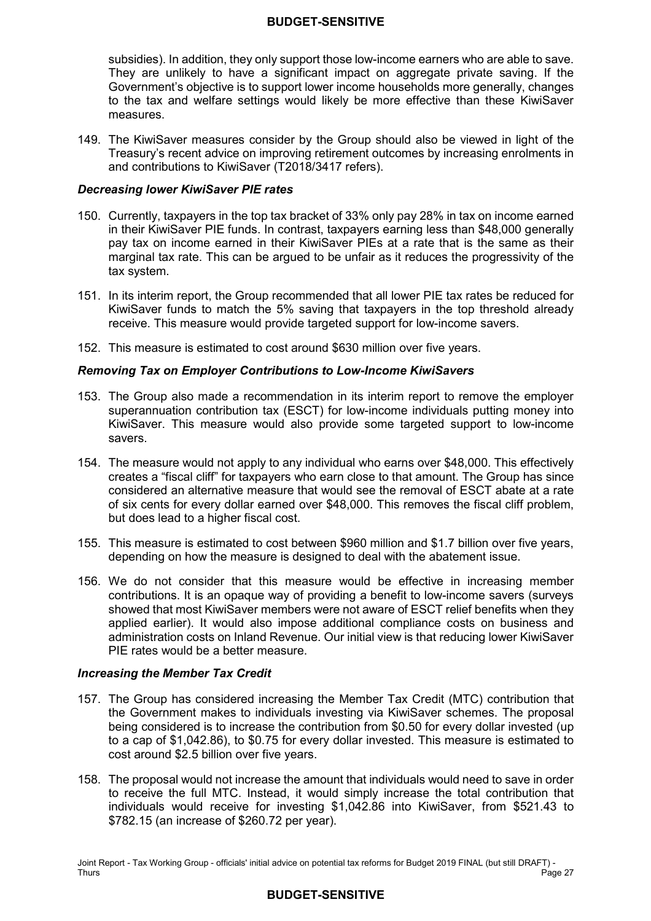subsidies). In addition, they only support those low-income earners who are able to save. They are unlikely to have a significant impact on aggregate private saving. If the Government's objective is to support lower income households more generally, changes to the tax and welfare settings would likely be more effective than these KiwiSaver measures.

 149. The KiwiSaver measures consider by the Group should also be viewed in light of the Treasury's recent advice on improving retirement outcomes by increasing enrolments in and contributions to KiwiSaver (T2018/3417 refers).

#### *Decreasing lower KiwiSaver PIE rates*

- 150. Currently, taxpayers in the top tax bracket of 33% only pay 28% in tax on income earned in their KiwiSaver PIE funds. In contrast, taxpayers earning less than \$48,000 generally pay tax on income earned in their KiwiSaver PIEs at a rate that is the same as their marginal tax rate. This can be argued to be unfair as it reduces the progressivity of the tax system.
- 151. In its interim report, the Group recommended that all lower PIE tax rates be reduced for KiwiSaver funds to match the 5% saving that taxpayers in the top threshold already receive. This measure would provide targeted support for low-income savers.
- 152. This measure is estimated to cost around \$630 million over five years.

#### *Removing Tax on Employer Contributions to Low-Income KiwiSavers*

- 153. The Group also made a recommendation in its interim report to remove the employer superannuation contribution tax (ESCT) for low-income individuals putting money into KiwiSaver. This measure would also provide some targeted support to low-income savers.
- 154. The measure would not apply to any individual who earns over \$48,000. This effectively creates a "fiscal cliff" for taxpayers who earn close to that amount. The Group has since considered an alternative measure that would see the removal of ESCT abate at a rate of six cents for every dollar earned over \$48,000. This removes the fiscal cliff problem, but does lead to a higher fiscal cost.
- 155. This measure is estimated to cost between \$960 million and \$1.7 billion over five years, depending on how the measure is designed to deal with the abatement issue.
- 156. We do not consider that this measure would be effective in increasing member contributions. It is an opaque way of providing a benefit to low-income savers (surveys showed that most KiwiSaver members were not aware of ESCT relief benefits when they applied earlier). It would also impose additional compliance costs on business and administration costs on Inland Revenue. Our initial view is that reducing lower KiwiSaver PIE rates would be a better measure.

#### *Increasing the Member Tax Credit*

- 157. The Group has considered increasing the Member Tax Credit (MTC) contribution that the Government makes to individuals investing via KiwiSaver schemes. The proposal being considered is to increase the contribution from \$0.50 for every dollar invested (up to a cap of [\\$1,042.86](https://1,042.86)), to \$0.75 for every dollar invested. This measure is estimated to cost around \$2.5 billion over five years.
- 158. The proposal would not increase the amount that individuals would need to save in order to receive the full MTC. Instead, it would simply increase the total contribution that individuals would receive for investing [\\$1,042.86](https://1,042.86) into KiwiSaver, from \$521.43 to \$782.15 (an increase of \$260.72 per year).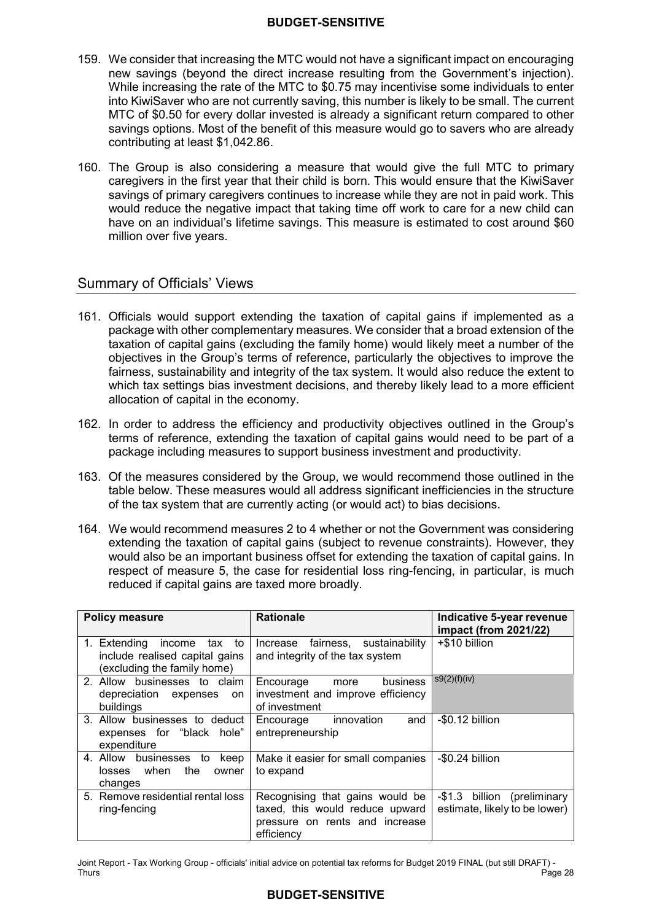- 159. We consider that increasing the MTC would not have a significant impact on encouraging new savings (beyond the direct increase resulting from the Government's injection). While increasing the rate of the MTC to \$0.75 may incentivise some individuals to enter into KiwiSaver who are not currently saving, this number is likely to be small. The current MTC of \$0.50 for every dollar invested is already a significant return compared to other savings options. Most of the benefit of this measure would go to savers who are already contributing at least \$[1,042.86.](https://1,042.86)
- 160. The Group is also considering a measure that would give the full MTC to primary caregivers in the first year that their child is born. This would ensure that the KiwiSaver savings of primary caregivers continues to increase while they are not in paid work. This would reduce the negative impact that taking time off work to care for a new child can have on an individual's lifetime savings. This measure is estimated to cost around \$60 million over five years.

# Summary of Officials' Views

- 161. Officials would support extending the taxation of capital gains if implemented as a package with other complementary measures. We consider that a broad extension of the taxation of capital gains (excluding the family home) would likely meet a number of the objectives in the Group's terms of reference, particularly the objectives to improve the fairness, sustainability and integrity of the tax system. It would also reduce the extent to which tax settings bias investment decisions, and thereby likely lead to a more efficient allocation of capital in the economy.
- 162. In order to address the efficiency and productivity objectives outlined in the Group's terms of reference, extending the taxation of capital gains would need to be part of a package including measures to support business investment and productivity.
- 163. Of the measures considered by the Group, we would recommend those outlined in the table below. These measures would all address significant inefficiencies in the structure of the tax system that are currently acting (or would act) to bias decisions.
- 164. We would recommend measures 2 to 4 whether or not the Government was considering extending the taxation of capital gains (subject to revenue constraints). However, they would also be an important business offset for extending the taxation of capital gains. In respect of measure 5, the case for residential loss ring-fencing, in particular, is much reduced if capital gains are taxed more broadly.

| <b>Policy measure</b>                                                                             | <b>Rationale</b>                                                                                                   | Indicative 5-year revenue<br>impact (from 2021/22)                  |
|---------------------------------------------------------------------------------------------------|--------------------------------------------------------------------------------------------------------------------|---------------------------------------------------------------------|
| 1. Extending<br>income<br>tax to<br>include realised capital gains<br>(excluding the family home) | Increase fairness, sustainability<br>and integrity of the tax system                                               | +\$10 billion                                                       |
| 2. Allow businesses to claim<br>depreciation expenses<br>on<br>buildings                          | business<br>Encourage<br>more<br>investment and improve efficiency<br>of investment                                | s9(2)(f)(iv)                                                        |
| 3. Allow businesses to deduct<br>expenses for "black hole"<br>expenditure                         | Encourage innovation<br>and<br>entrepreneurship                                                                    | -\$0.12 billion                                                     |
| 4. Allow businesses<br>keep<br>to<br>losses when<br>the<br>owner<br>changes                       | Make it easier for small companies<br>to expand                                                                    | -\$0.24 billion                                                     |
| 5. Remove residential rental loss<br>ring-fencing                                                 | Recognising that gains would be<br>taxed, this would reduce upward<br>pressure on rents and increase<br>efficiency | $-$1.3$<br>billion<br>(preliminary<br>estimate, likely to be lower) |

 Joint Report - Tax Working Group - officials' initial advice on potential tax reforms for Budget 2019 FINAL (but still DRAFT) - Thurs Thurs Page 28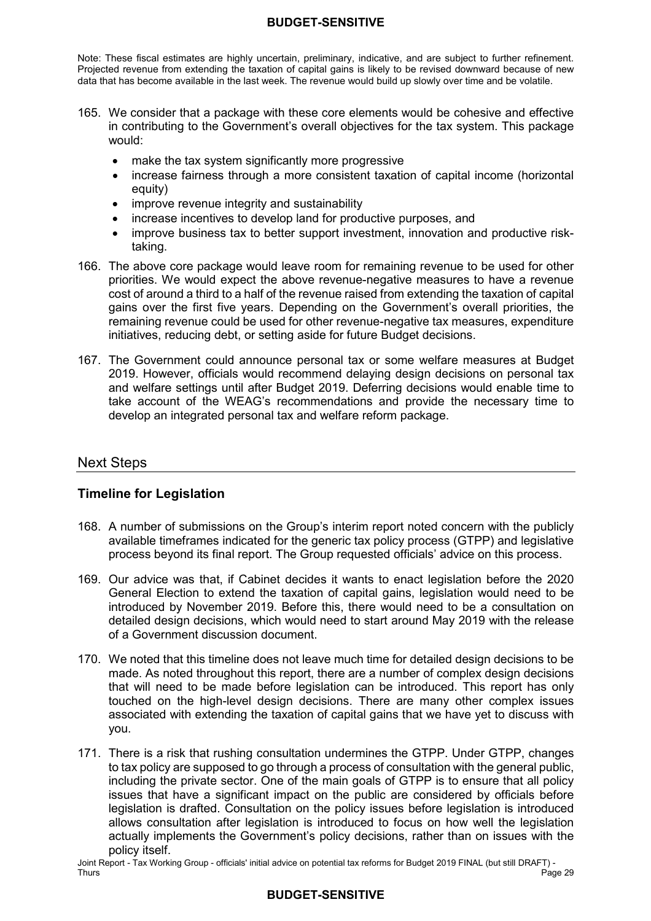Note: These fiscal estimates are highly uncertain, preliminary, indicative, and are subject to further refinement. Projected revenue from extending the taxation of capital gains is likely to be revised downward because of new data that has become available in the last week. The revenue would build up slowly over time and be volatile.

- 165. We consider that a package with these core elements would be cohesive and effective in contributing to the Government's overall objectives for the tax system. This package would:
	- make the tax system significantly more progressive
	- • increase fairness through a more consistent taxation of capital income (horizontal equity)
	- $\bullet$ • improve revenue integrity and sustainability
	- increase incentives to develop land for productive purposes, and
	- improve business tax to better support investment, innovation and productive risktaking.
- 166. The above core package would leave room for remaining revenue to be used for other priorities. We would expect the above revenue-negative measures to have a revenue cost of around a third to a half of the revenue raised from extending the taxation of capital gains over the first five years. Depending on the Government's overall priorities, the remaining revenue could be used for other revenue-negative tax measures, expenditure initiatives, reducing debt, or setting aside for future Budget decisions.
- 167. The Government could announce personal tax or some welfare measures at Budget 2019. However, officials would recommend delaying design decisions on personal tax and welfare settings until after Budget 2019. Deferring decisions would enable time to take account of the WEAG's recommendations and provide the necessary time to develop an integrated personal tax and welfare reform package.

# Next Steps

# **Timeline for Legislation**

- 168. A number of submissions on the Group's interim report noted concern with the publicly available timeframes indicated for the generic tax policy process (GTPP) and legislative process beyond its final report. The Group requested officials' advice on this process.
- 169. Our advice was that, if Cabinet decides it wants to enact legislation before the 2020 General Election to extend the taxation of capital gains, legislation would need to be introduced by November 2019. Before this, there would need to be a consultation on detailed design decisions, which would need to start around May 2019 with the release of a Government discussion document.
- 170. We noted that this timeline does not leave much time for detailed design decisions to be made. As noted throughout this report, there are a number of complex design decisions that will need to be made before legislation can be introduced. This report has only touched on the high-level design decisions. There are many other complex issues associated with extending the taxation of capital gains that we have yet to discuss with you.
- 171. There is a risk that rushing consultation undermines the GTPP. Under GTPP, changes to tax policy are supposed to go through a process of consultation with the general public, including the private sector. One of the main goals of GTPP is to ensure that all policy issues that have a significant impact on the public are considered by officials before legislation is drafted. Consultation on the policy issues before legislation is introduced allows consultation after legislation is introduced to focus on how well the legislation actually implements the Government's policy decisions, rather than on issues with the policy itself.

 Joint Report - Tax Working Group - officials' initial advice on potential tax reforms for Budget 2019 FINAL (but still DRAFT) - Thurs Page 29